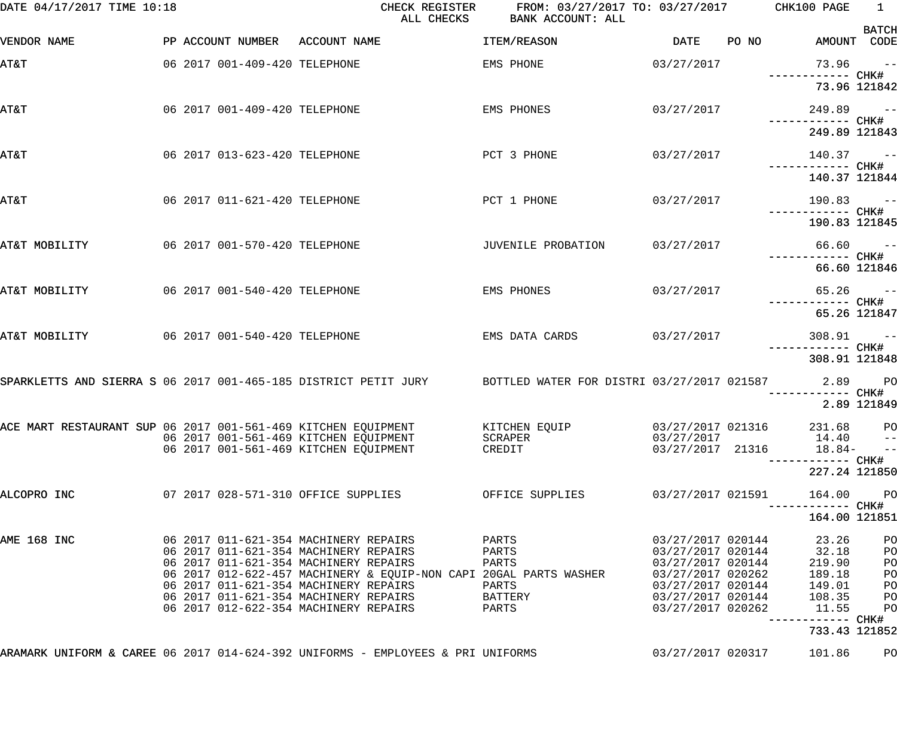| DATE 04/17/2017 TIME 10:18                                                      |  |                               |                                                                                | CHECK REGISTER<br>ALL CHECKS | FROM: 03/27/2017 TO: 03/27/2017 CHK100 PAGE<br>BANK ACCOUNT: ALL                                                     |                                        |       |                                 | $\overline{1}$              |
|---------------------------------------------------------------------------------|--|-------------------------------|--------------------------------------------------------------------------------|------------------------------|----------------------------------------------------------------------------------------------------------------------|----------------------------------------|-------|---------------------------------|-----------------------------|
| VENDOR NAME                                                                     |  |                               | PP ACCOUNT NUMBER ACCOUNT NAME                                                 |                              | ITEM/REASON                                                                                                          | DATE                                   | PO NO | AMOUNT CODE                     | <b>BATCH</b>                |
| <b>T&amp;TA</b>                                                                 |  | 06 2017 001-409-420 TELEPHONE |                                                                                |                              | EMS PHONE                                                                                                            | 03/27/2017                             |       |                                 | $73.96 -$                   |
|                                                                                 |  |                               |                                                                                |                              |                                                                                                                      |                                        |       |                                 | 73.96 121842                |
| AT&T                                                                            |  | 06 2017 001-409-420 TELEPHONE |                                                                                |                              | EMS PHONES                                                                                                           | 03/27/2017                             |       | $249.89 - -$                    |                             |
|                                                                                 |  |                               |                                                                                |                              |                                                                                                                      |                                        |       | 249.89 121843                   |                             |
| AT&T                                                                            |  | 06 2017 013-623-420 TELEPHONE |                                                                                |                              | PCT 3 PHONE                                                                                                          | 03/27/2017                             |       | $140.37 -$                      |                             |
|                                                                                 |  |                               |                                                                                |                              |                                                                                                                      |                                        |       | 140.37 121844                   |                             |
| AT&T                                                                            |  | 06 2017 011-621-420 TELEPHONE |                                                                                |                              | PCT 1 PHONE                                                                                                          | 03/27/2017                             |       | $190.83 - -$                    |                             |
|                                                                                 |  |                               |                                                                                |                              |                                                                                                                      |                                        |       | 190.83 121845                   |                             |
| AT&T MOBILITY                                                                   |  | 06 2017 001-570-420 TELEPHONE |                                                                                |                              | JUVENILE PROBATION                                                                                                   | 03/27/2017                             |       |                                 | $66.60 - -$                 |
|                                                                                 |  |                               |                                                                                |                              |                                                                                                                      |                                        |       |                                 | 66.60 121846                |
| AT&T MOBILITY                                                                   |  | 06 2017 001-540-420 TELEPHONE |                                                                                |                              | EMS PHONES                                                                                                           | 03/27/2017                             |       | ------------ CHK#               | $65.26 - -$                 |
|                                                                                 |  |                               |                                                                                |                              |                                                                                                                      |                                        |       |                                 | 65.26 121847                |
| AT&T MOBILITY                                                                   |  | 06 2017 001-540-420 TELEPHONE |                                                                                |                              | EMS DATA CARDS                                                                                                       | 03/27/2017                             |       | $308.91 -$<br>------------ CHK# |                             |
|                                                                                 |  |                               |                                                                                |                              |                                                                                                                      |                                        |       | 308.91 121848                   |                             |
|                                                                                 |  |                               |                                                                                |                              | SPARKLETTS AND SIERRA S 06 2017 001-465-185 DISTRICT PETIT JURY BOTTLED WATER FOR DISTRI 03/27/2017 021587 2.89 PO   |                                        |       |                                 |                             |
|                                                                                 |  |                               |                                                                                |                              |                                                                                                                      |                                        |       |                                 | 2.89 121849                 |
|                                                                                 |  |                               | 06 2017 001-561-469 KITCHEN EQUIPMENT                                          |                              | ACE MART RESTAURANT SUP 06 2017 001-561-469 KITCHEN EQUIPMENT KITCHEN EQUIP (03/27/2017 021316 (231.68 PO<br>SCRAPER | 03/27/2017                             |       | 14.40                           | $- -$                       |
|                                                                                 |  |                               | 06 2017 001-561-469 KITCHEN EQUIPMENT                                          |                              | CREDIT                                                                                                               | 03/27/2017 21316                       |       | $18.84-$<br>--------- CHK#      | $\rightarrow$ $\rightarrow$ |
|                                                                                 |  |                               |                                                                                |                              |                                                                                                                      |                                        |       | 227.24 121850                   |                             |
| ALCOPRO INC                                                                     |  |                               | 07 2017 028-571-310 OFFICE SUPPLIES                                            |                              | OFFICE SUPPLIES                                                                                                      | 03/27/2017 021591                      |       | 164.00                          | P <sub>O</sub>              |
|                                                                                 |  |                               |                                                                                |                              |                                                                                                                      |                                        |       | 164.00 121851                   |                             |
| AME 168 INC                                                                     |  |                               | 06 2017 011-621-354 MACHINERY REPAIRS<br>06 2017 011-621-354 MACHINERY REPAIRS |                              | PARTS<br>PARTS                                                                                                       | 03/27/2017 020144<br>03/27/2017 020144 |       | 23.26<br>32.18                  | PO<br>PO                    |
|                                                                                 |  |                               | 06 2017 011-621-354 MACHINERY REPAIRS                                          |                              | PARTS                                                                                                                | 03/27/2017 020144                      |       | 219.90                          | PO                          |
|                                                                                 |  |                               |                                                                                |                              | 06 2017 012-622-457 MACHINERY & EQUIP-NON CAPI 20GAL PARTS WASHER                                                    | 03/27/2017 020262                      |       | 189.18                          | PO                          |
|                                                                                 |  |                               | 06 2017 011-621-354 MACHINERY REPAIRS                                          |                              | PARTS                                                                                                                | 03/27/2017 020144                      |       | 149.01                          | PO                          |
|                                                                                 |  |                               | 06 2017 011-621-354 MACHINERY REPAIRS<br>06 2017 012-622-354 MACHINERY REPAIRS |                              | BATTERY<br>PARTS                                                                                                     | 03/27/2017 020144<br>03/27/2017 020262 |       | 108.35<br>11.55                 | PO<br>PO                    |
|                                                                                 |  |                               |                                                                                |                              |                                                                                                                      |                                        |       | --------- CHK#                  |                             |
|                                                                                 |  |                               |                                                                                |                              |                                                                                                                      |                                        |       | 733.43 121852                   |                             |
| ARAMARK UNIFORM & CAREE 06 2017 014-624-392 UNIFORMS - EMPLOYEES & PRI UNIFORMS |  |                               |                                                                                |                              |                                                                                                                      | 03/27/2017 020317                      |       | 101.86                          | PO                          |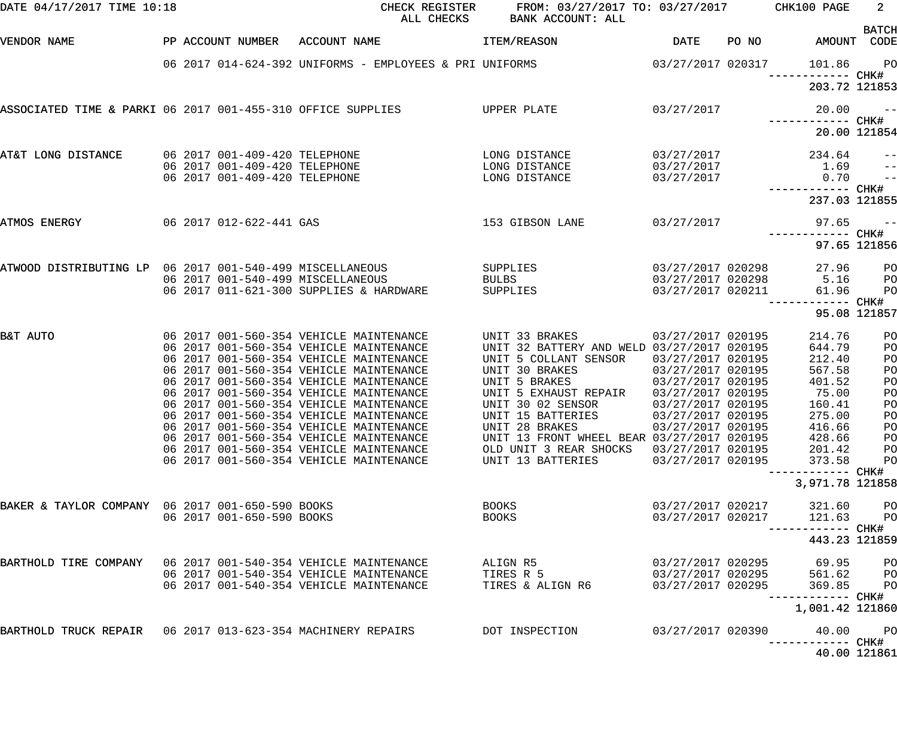| DATE 04/17/2017 TIME 10:18                                    |                                                                | CHECK REGISTER<br>ALL CHECKS                                                       | FROM: 03/27/2017 TO: 03/27/2017 CHK100 PAGE<br>BANK ACCOUNT: ALL |                                        |       |                             | $2^{\circ}$                     |
|---------------------------------------------------------------|----------------------------------------------------------------|------------------------------------------------------------------------------------|------------------------------------------------------------------|----------------------------------------|-------|-----------------------------|---------------------------------|
| VENDOR NAME                                                   | PP ACCOUNT NUMBER ACCOUNT NAME                                 |                                                                                    | ITEM/REASON                                                      | DATE                                   | PO NO | AMOUNT CODE                 | <b>BATCH</b>                    |
|                                                               |                                                                | 06 2017 014-624-392 UNIFORMS - EMPLOYEES & PRI UNIFORMS                            | $03/27/2017$ 020317                                              |                                        |       | 101.86<br>------------ CHK# | PO <sub>1</sub>                 |
|                                                               |                                                                |                                                                                    |                                                                  |                                        |       | 203.72 121853               |                                 |
| ASSOCIATED TIME & PARKI 06 2017 001-455-310 OFFICE SUPPLIES   |                                                                |                                                                                    | UPPER PLATE                                                      | 03/27/2017                             |       | 20.00                       | $ -$                            |
|                                                               |                                                                |                                                                                    |                                                                  |                                        |       |                             | 20.00 121854                    |
| AT&T LONG DISTANCE                                            | 06 2017 001-409-420 TELEPHONE<br>06 2017 001-409-420 TELEPHONE |                                                                                    | LONG DISTANCE<br>LONG DISTANCE                                   | 03/27/2017<br>03/27/2017               |       | 234.64                      | $\qquad \qquad -$               |
|                                                               | 06 2017 001-409-420 TELEPHONE                                  |                                                                                    | LONG DISTANCE                                                    | 03/27/2017                             |       | 1.69<br>0.70                | $-$<br>$\overline{\phantom{a}}$ |
|                                                               |                                                                |                                                                                    |                                                                  |                                        |       | 237.03 121855               |                                 |
| ATMOS ENERGY                                                  | 06 2017 012-622-441 GAS                                        |                                                                                    | 153 GIBSON LANE                                                  | 03/27/2017                             |       | 97.65                       | $\frac{1}{2}$                   |
|                                                               |                                                                |                                                                                    |                                                                  |                                        |       |                             | 97.65 121856                    |
| ATWOOD DISTRIBUTING LP 06 2017 001-540-499 MISCELLANEOUS      | 06 2017 001-540-499 MISCELLANEOUS                              |                                                                                    | SUPPLIES                                                         | 03/27/2017 020298                      |       | 27.96<br>5.16               | P <sub>O</sub>                  |
|                                                               |                                                                | 06 2017 011-621-300 SUPPLIES & HARDWARE                                            | <b>BULBS</b><br>SUPPLIES                                         | 03/27/2017 020298<br>03/27/2017 020211 |       | 61.96                       | P <sub>O</sub><br>PO            |
|                                                               |                                                                |                                                                                    |                                                                  |                                        |       | ------ CHK#                 | 95.08 121857                    |
| B&T AUTO                                                      |                                                                | 06 2017 001-560-354 VEHICLE MAINTENANCE<br>06 2017 001-560-354 VEHICLE MAINTENANCE | UNIT 33 BRAKES<br>UNIT 32 BATTERY AND WELD 03/27/2017 020195     | 03/27/2017 020195                      |       | 214.76<br>644.79            | PO                              |
|                                                               |                                                                | 06 2017 001-560-354 VEHICLE MAINTENANCE                                            | UNIT 5 COLLANT SENSOR                                            | 03/27/2017 020195                      |       | 212.40                      | PO<br>PO                        |
|                                                               |                                                                | 06 2017 001-560-354 VEHICLE MAINTENANCE                                            | UNIT 30 BRAKES                                                   | 03/27/2017 020195                      |       | 567.58                      | PO                              |
|                                                               |                                                                | 06 2017 001-560-354 VEHICLE MAINTENANCE                                            | UNIT 5 BRAKES                                                    | 03/27/2017 020195                      |       | 401.52                      | PO                              |
|                                                               |                                                                | 06 2017 001-560-354 VEHICLE MAINTENANCE                                            | UNIT 5 EXHAUST REPAIR                                            | 03/27/2017 020195                      |       | 75.00                       | PO                              |
|                                                               |                                                                | 06 2017 001-560-354 VEHICLE MAINTENANCE                                            | UNIT 30 02 SENSOR                                                | 03/27/2017 020195                      |       | 160.41                      | PO                              |
|                                                               |                                                                | 06 2017 001-560-354 VEHICLE MAINTENANCE                                            | UNIT 15 BATTERIES                                                | 03/27/2017 020195                      |       | 275.00                      | PO                              |
|                                                               |                                                                | 06 2017 001-560-354 VEHICLE MAINTENANCE                                            | UNIT 28 BRAKES                                                   | 03/27/2017 020195                      |       | 416.66                      | PO                              |
|                                                               |                                                                | 06 2017 001-560-354 VEHICLE MAINTENANCE                                            | UNIT 13 FRONT WHEEL BEAR 03/27/2017 020195                       |                                        |       | 428.66                      | PO                              |
|                                                               |                                                                | 06 2017 001-560-354 VEHICLE MAINTENANCE                                            | OLD UNIT 3 REAR SHOCKS                                           | 03/27/2017 020195                      |       | 201.42                      | PO                              |
|                                                               |                                                                | 06 2017 001-560-354 VEHICLE MAINTENANCE                                            | UNIT 13 BATTERIES                                                | 03/27/2017 020195                      |       | 373.58<br>---------- CHK#   | PO                              |
|                                                               |                                                                |                                                                                    |                                                                  |                                        |       | 3,971.78 121858             |                                 |
| BAKER & TAYLOR COMPANY 06 2017 001-650-590 BOOKS              |                                                                |                                                                                    | <b>BOOKS</b>                                                     | 03/27/2017 020217                      |       | 321.60                      | PО                              |
|                                                               | 06 2017 001-650-590 BOOKS                                      |                                                                                    | <b>BOOKS</b>                                                     | 03/27/2017 020217                      |       | 121.63<br>------- CHK#      | PO                              |
|                                                               |                                                                |                                                                                    |                                                                  |                                        |       | 443.23 121859               |                                 |
| BARTHOLD TIRE COMPANY 06 2017 001-540-354 VEHICLE MAINTENANCE |                                                                |                                                                                    | ALIGN R5                                                         | 03/27/2017 020295                      |       | 69.95                       | PО                              |
|                                                               |                                                                | 06 2017 001-540-354 VEHICLE MAINTENANCE                                            | TIRES R 5                                                        | 03/27/2017 020295                      |       | 561.62                      | P <sub>O</sub>                  |
|                                                               |                                                                | 06 2017 001-540-354 VEHICLE MAINTENANCE                                            | TIRES & ALIGN R6                                                 | 03/27/2017 020295                      |       | 369.85<br>------------      | PO<br>CHK#                      |
|                                                               |                                                                |                                                                                    |                                                                  |                                        |       | 1,001.42 121860             |                                 |
| BARTHOLD TRUCK REPAIR 06 2017 013-623-354 MACHINERY REPAIRS   |                                                                |                                                                                    | DOT INSPECTION                                                   | 03/27/2017 020390                      |       | 40.00                       | PО                              |
|                                                               |                                                                |                                                                                    |                                                                  |                                        |       |                             | 40.00 121861                    |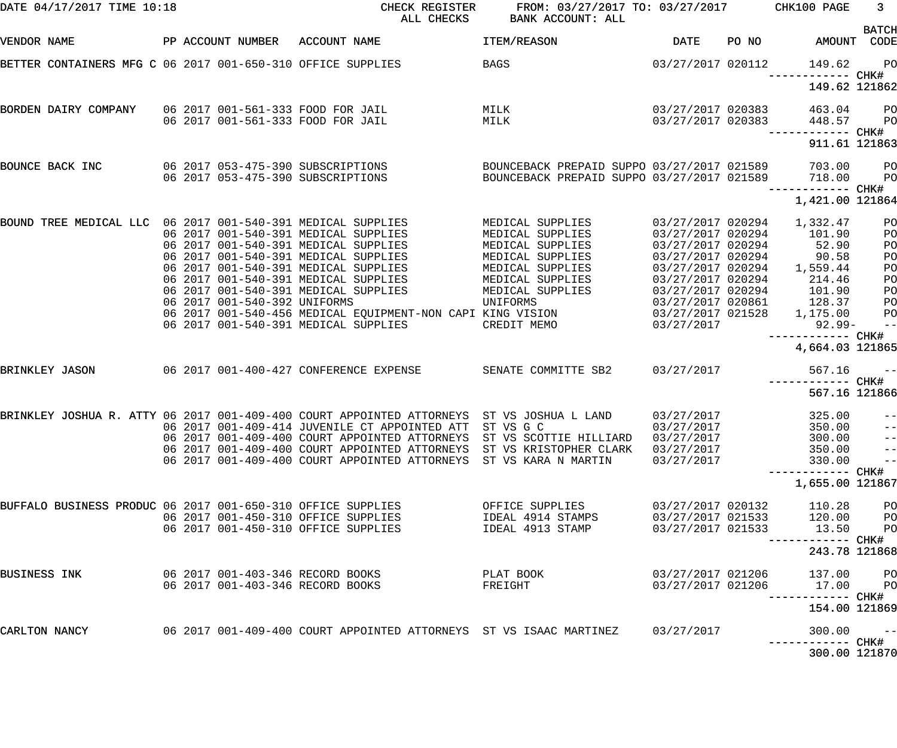| DATE 04/17/2017 TIME 10:18                                  |                                      | CHECK REGISTER<br>ALL CHECKS                                                                         | FROM: 03/27/2017 TO: 03/27/2017 CHK100 PAGE<br>BANK ACCOUNT: ALL |                                        |                                      | 3 <sup>7</sup><br><b>BATCH</b>         |
|-------------------------------------------------------------|--------------------------------------|------------------------------------------------------------------------------------------------------|------------------------------------------------------------------|----------------------------------------|--------------------------------------|----------------------------------------|
| VENDOR NAME                                                 |                                      | PP ACCOUNT NUMBER ACCOUNT NAME                                                                       | <b>ITEM/REASON</b>                                               | DATE                                   | PO NO AMOUNT CODE                    |                                        |
|                                                             |                                      | BETTER CONTAINERS MFG C 06 2017 001-650-310 OFFICE SUPPLIES                                          | <b>BAGS</b>                                                      | 03/27/2017 020112                      | 149.62<br>------------ CHK#          | PO <sub>1</sub>                        |
|                                                             |                                      |                                                                                                      |                                                                  |                                        | 149.62 121862                        |                                        |
| BORDEN DAIRY COMPANY 06 2017 001-561-333 FOOD FOR JAIL      |                                      |                                                                                                      | MILK                                                             | 03/27/2017 020383                      | 463.04                               | <b>PO</b>                              |
|                                                             |                                      | 06 2017 001-561-333 FOOD FOR JAIL                                                                    | MILK                                                             | 03/27/2017 020383                      | 448.57<br>------------ CHK#          | <b>PO</b>                              |
|                                                             |                                      |                                                                                                      |                                                                  |                                        | 911.61 121863                        |                                        |
| BOUNCE BACK INC                                             |                                      | 06 2017 053-475-390 SUBSCRIPTIONS                                                                    | BOUNCEBACK PREPAID SUPPO 03/27/2017 021589                       |                                        | 703.00                               | <b>PO</b>                              |
|                                                             |                                      | 06 2017 053-475-390 SUBSCRIPTIONS                                                                    | BOUNCEBACK PREPAID SUPPO 03/27/2017 021589 718.00                |                                        |                                      | P <sub>O</sub>                         |
|                                                             |                                      |                                                                                                      |                                                                  |                                        | ------------ CHK#<br>1,421.00 121864 |                                        |
| BOUND TREE MEDICAL LLC 06 2017 001-540-391 MEDICAL SUPPLIES |                                      |                                                                                                      | MEDICAL SUPPLIES                                                 | 03/27/2017 020294                      | 1,332.47                             | PO                                     |
|                                                             |                                      | 06 2017 001-540-391 MEDICAL SUPPLIES                                                                 | MEDICAL SUPPLIES                                                 | 03/27/2017 020294                      | 101.90                               | PO                                     |
|                                                             |                                      | 06 2017 001-540-391 MEDICAL SUPPLIES                                                                 | MEDICAL SUPPLIES                                                 | 03/27/2017 020294                      | 52.90                                | PO                                     |
|                                                             |                                      | 06 2017 001-540-391 MEDICAL SUPPLIES                                                                 | MEDICAL SUPPLIES                                                 | 03/27/2017 020294                      | 90.58                                | PO                                     |
|                                                             |                                      | 06 2017 001-540-391 MEDICAL SUPPLIES                                                                 | MEDICAL SUPPLIES                                                 |                                        | 03/27/2017 020294 1,559.44           | PO                                     |
|                                                             |                                      | 06 2017 001-540-391 MEDICAL SUPPLIES<br>06 2017 001-540-391 MEDICAL SUPPLIES                         | MEDICAL SUPPLIES<br>MEDICAL SUPPLIES                             | 03/27/2017 020294<br>03/27/2017 020294 | 214.46<br>101.90                     | PO<br>PO                               |
| 06 2017 001-540-392 UNIFORMS                                |                                      |                                                                                                      | UNIFORMS                                                         |                                        | 03/27/2017 020861 128.37             | PO                                     |
|                                                             |                                      | 06 2017 001-540-456 MEDICAL EQUIPMENT-NON CAPI KING VISION 63/27/2017 021528 1,175.00                |                                                                  |                                        |                                      | P <sub>O</sub>                         |
|                                                             | 06 2017 001-540-391 MEDICAL SUPPLIES | CREDIT MEMO<br>03/27/2017                                                                            |                                                                  | $92.99 -$                              | $\qquad \qquad -$                    |                                        |
|                                                             |                                      |                                                                                                      |                                                                  |                                        | ------------ CHK#<br>4,664.03 121865 |                                        |
|                                                             |                                      |                                                                                                      |                                                                  |                                        |                                      |                                        |
| BRINKLEY JASON                                              |                                      | 06 2017 001-400-427 CONFERENCE EXPENSE SENATE COMMITTE SB2 03/27/2017                                |                                                                  |                                        | 567.16                               | $ -$                                   |
|                                                             |                                      |                                                                                                      |                                                                  |                                        | ------------ CHK#                    |                                        |
|                                                             |                                      |                                                                                                      |                                                                  |                                        | 567.16 121866                        |                                        |
|                                                             |                                      | BRINKLEY JOSHUA R. ATTY 06 2017 001-409-400 COURT APPOINTED ATTORNEYS ST VS JOSHUA L LAND 03/27/2017 |                                                                  |                                        | 325.00                               | $\frac{1}{2}$                          |
|                                                             |                                      | 06 2017 001-409-414 JUVENILE CT APPOINTED ATT                                                        | ST VS G C                                                        | 03/27/2017                             | 350.00                               | $-\, -$                                |
|                                                             |                                      | 06 2017 001-409-400 COURT APPOINTED ATTORNEYS                                                        | ST VS SCOTTIE HILLIARD                                           | 03/27/2017                             | 300.00                               | $-\, -$                                |
|                                                             |                                      | 06 2017 001-409-400 COURT APPOINTED ATTORNEYS<br>06 2017 001-409-400 COURT APPOINTED ATTORNEYS       | ST VS KRISTOPHER CLARK<br>ST VS KARA N MARTIN                    | 03/27/2017<br>03/27/2017               | 350.00<br>330.00                     | $\qquad \qquad -$<br>$\qquad \qquad -$ |
|                                                             |                                      |                                                                                                      |                                                                  |                                        |                                      |                                        |
|                                                             |                                      |                                                                                                      |                                                                  |                                        | 1,655.00 121867                      |                                        |
| BUFFALO BUSINESS PRODUC 06 2017 001-650-310 OFFICE SUPPLIES |                                      |                                                                                                      | OFFICE SUPPLIES                                                  | 03/27/2017 020132                      | 110.28                               | PO                                     |
|                                                             |                                      | 06 2017 001-450-310 OFFICE SUPPLIES                                                                  | IDEAL 4914 STAMPS                                                | 03/27/2017 021533                      | 120.00                               | PO                                     |
|                                                             |                                      | 06 2017 001-450-310 OFFICE SUPPLIES                                                                  | IDEAL 4913 STAMP                                                 | 03/27/2017 021533                      | 13.50                                | PO                                     |
|                                                             |                                      |                                                                                                      |                                                                  |                                        | 243.78 121868                        |                                        |
| BUSINESS INK                                                |                                      | 06 2017 001-403-346 RECORD BOOKS                                                                     | PLAT BOOK                                                        | 03/27/2017 021206                      | 137.00                               | PО                                     |
|                                                             |                                      | 06 2017 001-403-346 RECORD BOOKS                                                                     | FREIGHT                                                          | 03/27/2017 021206                      | 17.00                                | PО                                     |
|                                                             |                                      |                                                                                                      |                                                                  |                                        | 154.00 121869                        |                                        |
| CARLTON NANCY                                               |                                      | 06  2017  001-409-400  COURT  APPOINTED  ATTORNEYS  ST VS  ISAAC MARTINEZ                            |                                                                  | 03/27/2017                             | 300.00                               | $- -$                                  |
|                                                             |                                      |                                                                                                      |                                                                  |                                        | 300.00 121870                        |                                        |
|                                                             |                                      |                                                                                                      |                                                                  |                                        |                                      |                                        |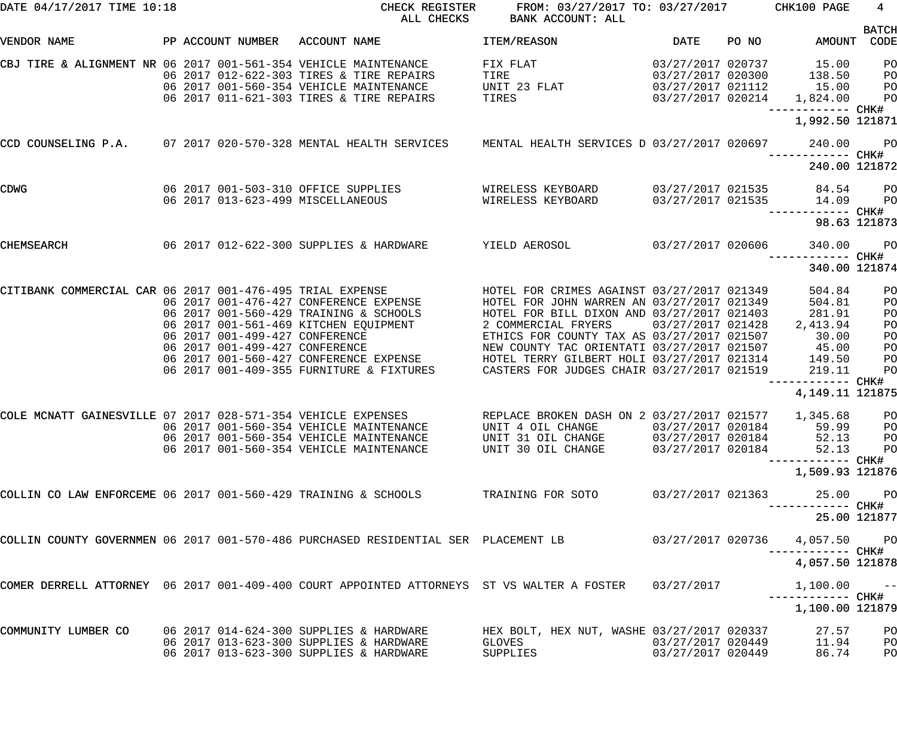| DATE 04/17/2017 TIME 10:18                                                                                              | CHECK REGISTER<br>ALL CHECKS                                                                                                                                                                                                                                                                                                                                                                                                                    | FROM: 03/27/2017 TO: 03/27/2017 CHK100 PAGE<br>BANK ACCOUNT: ALL                                                                                                                |                                                             |                                                                                                   | $4\overline{ }$                                          |
|-------------------------------------------------------------------------------------------------------------------------|-------------------------------------------------------------------------------------------------------------------------------------------------------------------------------------------------------------------------------------------------------------------------------------------------------------------------------------------------------------------------------------------------------------------------------------------------|---------------------------------------------------------------------------------------------------------------------------------------------------------------------------------|-------------------------------------------------------------|---------------------------------------------------------------------------------------------------|----------------------------------------------------------|
| VENDOR NAME                                                                                                             | PP ACCOUNT NUMBER ACCOUNT NAME                                                                                                                                                                                                                                                                                                                                                                                                                  | and the state of the DATE of the STATE of the STATE of the STATE of the STATE of the STATE of the STATE of the<br><b>ITEM/REASON</b>                                            |                                                             | PO NO AMOUNT CODE                                                                                 | <b>BATCH</b>                                             |
| CBJ TIRE & ALIGNMENT NR 06 2017 001-561-354 VEHICLE MAINTENANCE                                                         | 06 2017 012-622-303 TIRES & TIRE REPAIRS<br>06 2017 001-560-354 VEHICLE MAINTENANCE<br>06 2017 011-621-303 TIRES & TIRE REPAIRS                                                                                                                                                                                                                                                                                                                 | $03/27/2017$ 020737 15.00<br>FIX FLAT<br>$03/27/2017$ 020300<br>TIRE<br>UNIT 23 FLAT 03/27/2017 021112<br>TIRES<br>$03/27/2017$ 020214 1,824.00                                 |                                                             | 138.50<br>15.00                                                                                   | P <sub>O</sub><br>P <sub>O</sub><br>PO<br>P <sub>O</sub> |
|                                                                                                                         |                                                                                                                                                                                                                                                                                                                                                                                                                                                 |                                                                                                                                                                                 |                                                             | 1,992.50 121871                                                                                   |                                                          |
| CCD COUNSELING P.A. 07 2017 020-570-328 MENTAL HEALTH SERVICES MENTAL HEALTH SERVICES D 03/27/2017 020697 240.00        |                                                                                                                                                                                                                                                                                                                                                                                                                                                 |                                                                                                                                                                                 |                                                             | ------------ CHK#                                                                                 | <b>PO</b>                                                |
|                                                                                                                         |                                                                                                                                                                                                                                                                                                                                                                                                                                                 |                                                                                                                                                                                 |                                                             | 240.00 121872                                                                                     |                                                          |
| 06 2017 001-503-310 OFFICE SUPPLIES               WIRELESS KEYBOARD         03/27/2017 021535       84.54    PO<br>CDWG | 06 2017 013-623-499 MISCELLANEOUS                                                                                                                                                                                                                                                                                                                                                                                                               |                                                                                                                                                                                 |                                                             | ------------ CHK#                                                                                 | <b>PO</b>                                                |
|                                                                                                                         |                                                                                                                                                                                                                                                                                                                                                                                                                                                 |                                                                                                                                                                                 |                                                             | 98.63 121873                                                                                      |                                                          |
| 06 2017 012-622-300 SUPPLIES & HARDWARE YIELD AEROSOL 63/27/2017 020606<br>CHEMSEARCH                                   |                                                                                                                                                                                                                                                                                                                                                                                                                                                 |                                                                                                                                                                                 |                                                             | 340.00<br>------------ CHK#                                                                       | PO                                                       |
|                                                                                                                         |                                                                                                                                                                                                                                                                                                                                                                                                                                                 |                                                                                                                                                                                 |                                                             | 340.00 121874                                                                                     |                                                          |
| CITIBANK COMMERCIAL CAR 06 2017 001-476-495 TRIAL EXPENSE<br>06 2017 001-499-427 CONFERENCE                             | 06 2017 001-476-427 CONFERENCE EXPENSE HOTEL FOR JOHN WARREN AN 03/27/2017 021349<br>06 2017 001-560-429 TRAINING & SCHOOLS<br>06 2017 001-561-469 KITCHEN EQUIPMENT<br>06 2017 001-499-427 CONFERENCE             NEW COUNTY TAC ORIENTATI 03/27/2017 021507<br>06 2017 001-560-427 CONFERENCE EXPENSE       HOTEL TERRY GILBERT HOLI 03/27/2017 021314<br>06 2017 001-409-355 FURNITURE & FIXTURES CASTERS FOR JUDGES CHAIR 03/27/2017 021519 | HOTEL FOR CRIMES AGAINST 03/27/2017 021349<br>HOTEL FOR BILL DIXON AND 03/27/2017 021403<br>2 COMMERCIAL FRYERS 03/27/2017 021428<br>ETHICS FOR COUNTY TAX AS 03/27/2017 021507 |                                                             | 504.84<br>504.81<br>281.91<br>2,413.94<br>30.00<br>45.00<br>149.50<br>219.11<br>------------ CHK# | PO<br>PO<br>PO<br>PO<br>PO<br>PO<br>PO<br>PO             |
|                                                                                                                         |                                                                                                                                                                                                                                                                                                                                                                                                                                                 |                                                                                                                                                                                 |                                                             | 4, 149. 11 121875                                                                                 |                                                          |
| COLE MCNATT GAINESVILLE 07 2017 028-571-354 VEHICLE EXPENSES REPLACE BROKEN DASH ON 2 03/27/2017 021577 1,345.68        | 06 2017 001-560-354 VEHICLE MAINTENANCE<br>06 2017 001-560-354 VEHICLE MAINTENANCE<br>06 2017 001-560-354 VEHICLE MAINTENANCE                                                                                                                                                                                                                                                                                                                   | UNIT 4 OIL CHANGE<br>UNIT 31 OIL CHANGE<br>UNIT 30 OIL CHANGE                                                                                                                   | 03/27/2017 020184<br>03/27/2017 020184<br>03/27/2017 020184 | 59.99<br>52.13<br>52.13<br>1,509.93 121876                                                        | P <sub>O</sub><br>PО<br>PO<br>PO                         |
| COLLIN CO LAW ENFORCEME 06 2017 001-560-429 TRAINING & SCHOOLS                                                          |                                                                                                                                                                                                                                                                                                                                                                                                                                                 | TRAINING FOR SOTO                                                                                                                                                               | 03/27/2017 021363                                           | 25.00                                                                                             | P <sub>O</sub>                                           |
|                                                                                                                         |                                                                                                                                                                                                                                                                                                                                                                                                                                                 |                                                                                                                                                                                 |                                                             | ----------- CHK#<br>25.00 121877                                                                  |                                                          |
| COLLIN COUNTY GOVERNMEN 06 2017 001-570-486 PURCHASED RESIDENTIAL SER PLACEMENT LB                                      |                                                                                                                                                                                                                                                                                                                                                                                                                                                 |                                                                                                                                                                                 | 03/27/2017 020736                                           | 4,057.50 PO                                                                                       |                                                          |
|                                                                                                                         |                                                                                                                                                                                                                                                                                                                                                                                                                                                 |                                                                                                                                                                                 |                                                             | ----------- CHK#<br>4,057.50 121878                                                               |                                                          |
| COMER DERRELL ATTORNEY 06 2017 001-409-400 COURT APPOINTED ATTORNEYS ST VS WALTER A FOSTER                              |                                                                                                                                                                                                                                                                                                                                                                                                                                                 |                                                                                                                                                                                 | 03/27/2017                                                  | 1,100.00                                                                                          | $\sim$ $ -$                                              |
|                                                                                                                         |                                                                                                                                                                                                                                                                                                                                                                                                                                                 |                                                                                                                                                                                 |                                                             | 1,100.00 121879                                                                                   |                                                          |
| COMMUNITY LUMBER CO                                                                                                     | 06 2017 014-624-300 SUPPLIES & HARDWARE<br>06 2017 013-623-300 SUPPLIES & HARDWARE<br>06 2017 013-623-300 SUPPLIES & HARDWARE                                                                                                                                                                                                                                                                                                                   | HEX BOLT, HEX NUT, WASHE 03/27/2017 020337<br>GLOVES<br>SUPPLIES                                                                                                                | 03/27/2017 020449<br>03/27/2017 020449                      | 27.57<br>11.94<br>86.74                                                                           | PO<br>PO<br>PO                                           |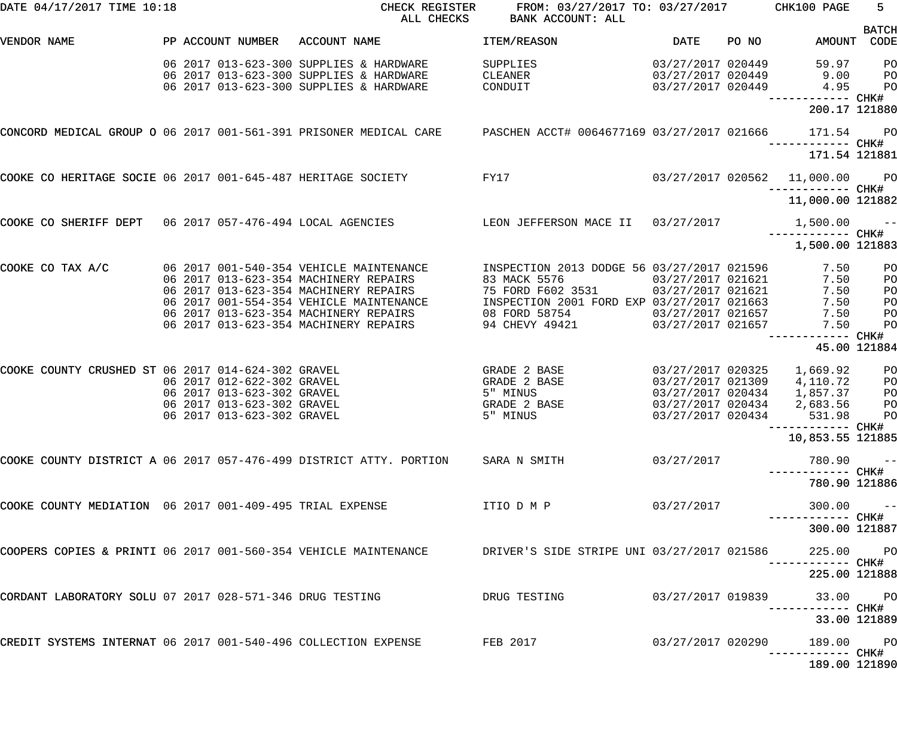| DATE 04/17/2017 TIME 10:18                                        |                            | CHECK REGISTER<br>ALL CHECKS                                                                                       | FROM: 03/27/2017 TO: 03/27/2017 CHK100 PAGE<br>BANK ACCOUNT: ALL |                   |       |                                   | $5 -$                |
|-------------------------------------------------------------------|----------------------------|--------------------------------------------------------------------------------------------------------------------|------------------------------------------------------------------|-------------------|-------|-----------------------------------|----------------------|
| VENDOR NAME                                                       | PP ACCOUNT NUMBER          | ACCOUNT NAME                                                                                                       | ITEM/REASON                                                      | <b>DATE</b>       | PO NO | AMOUNT                            | <b>BATCH</b><br>CODE |
|                                                                   |                            |                                                                                                                    |                                                                  |                   |       |                                   |                      |
|                                                                   |                            | 06 2017 013-623-300 SUPPLIES & HARDWARE                                                                            | SUPPLIES                                                         | 03/27/2017 020449 |       | 59.97                             | PO                   |
|                                                                   |                            | 06 2017 013-623-300 SUPPLIES & HARDWARE                                                                            | CLEANER                                                          | 03/27/2017 020449 |       | 9.00                              | PO                   |
|                                                                   |                            | 06 2017 013-623-300 SUPPLIES & HARDWARE                                                                            | CONDUIT                                                          | 03/27/2017 020449 |       | 4.95                              | PO                   |
|                                                                   |                            |                                                                                                                    |                                                                  |                   |       | 200.17 121880                     |                      |
| CONCORD MEDICAL GROUP O 06 2017 001-561-391 PRISONER MEDICAL CARE |                            |                                                                                                                    | PASCHEN ACCT# 0064677169 03/27/2017 021666                       |                   |       | 171.54                            | $P$ O                |
|                                                                   |                            |                                                                                                                    |                                                                  |                   |       | 171.54 121881                     |                      |
| COOKE CO HERITAGE SOCIE 06 2017 001-645-487 HERITAGE SOCIETY      |                            |                                                                                                                    | FY17                                                             |                   |       | 03/27/2017 020562 11,000.00       | <b>PO</b>            |
|                                                                   |                            |                                                                                                                    |                                                                  |                   |       | 11,000.00 121882                  |                      |
| COOKE CO SHERIFF DEPT 06 2017 057-476-494 LOCAL AGENCIES          |                            |                                                                                                                    | LEON JEFFERSON MACE II                                           | 03/27/2017        |       | 1,500.00                          | البراسي المراد       |
|                                                                   |                            |                                                                                                                    |                                                                  |                   |       | 1,500.00 121883                   |                      |
| COOKE CO TAX A/C                                                  |                            | 06 2017 001-540-354 VEHICLE MAINTENANCE                                                                            | INSPECTION 2013 DODGE 56 03/27/2017 021596                       |                   |       | 7.50                              | PO                   |
|                                                                   |                            | 06 2017 013-623-354 MACHINERY REPAIRS                                                                              | 83 MACK 5576                                                     | 03/27/2017 021621 |       | 7.50                              | PO                   |
|                                                                   |                            | 06 2017 013-623-354 MACHINERY REPAIRS                                                                              | 75 FORD F602 3531                                                | 03/27/2017 021621 |       | 7.50                              | PO                   |
|                                                                   |                            | 06 2017 001-554-354 VEHICLE MAINTENANCE                                                                            | INSPECTION 2001 FORD EXP 03/27/2017 021663                       |                   |       | 7.50                              | PO                   |
|                                                                   |                            | 06 2017 013-623-354 MACHINERY REPAIRS                                                                              | 08 FORD 58754                                                    | 03/27/2017 021657 |       | 7.50                              | PO                   |
|                                                                   |                            | 06 2017 013-623-354 MACHINERY REPAIRS                                                                              | 94 CHEVY 49421                                                   | 03/27/2017 021657 |       | 7.50                              | PO                   |
|                                                                   |                            |                                                                                                                    |                                                                  |                   |       | ------ CHK#                       | 45.00 121884         |
|                                                                   |                            |                                                                                                                    |                                                                  |                   |       |                                   |                      |
| COOKE COUNTY CRUSHED ST 06 2017 014-624-302 GRAVEL                |                            |                                                                                                                    | GRADE 2 BASE                                                     | 03/27/2017 020325 |       | 1,669.92                          | PO                   |
|                                                                   | 06 2017 012-622-302 GRAVEL |                                                                                                                    | GRADE 2 BASE                                                     | 03/27/2017 021309 |       | 4,110.72                          | PO                   |
|                                                                   | 06 2017 013-623-302 GRAVEL |                                                                                                                    | 5" MINUS                                                         | 03/27/2017 020434 |       | 1,857.37                          | PO                   |
|                                                                   | 06 2017 013-623-302 GRAVEL |                                                                                                                    | <b>GRADE 2 BASE</b>                                              | 03/27/2017 020434 |       | 2,683.56                          | PO                   |
|                                                                   | 06 2017 013-623-302 GRAVEL |                                                                                                                    | 5" MINUS                                                         | 03/27/2017 020434 |       | 531.98                            | PO                   |
|                                                                   |                            |                                                                                                                    |                                                                  |                   |       | 10,853.55 121885                  |                      |
|                                                                   |                            | COOKE COUNTY DISTRICT A 06 2017 057-476-499 DISTRICT ATTY. PORTION SARA N SMITH                                    |                                                                  | 03/27/2017        |       | $780.90 - -$                      |                      |
|                                                                   |                            |                                                                                                                    |                                                                  |                   |       |                                   |                      |
|                                                                   |                            |                                                                                                                    |                                                                  |                   |       | 780.90 121886                     |                      |
| COOKE COUNTY MEDIATION 06 2017 001-409-495 TRIAL EXPENSE          |                            |                                                                                                                    | ITIO D M P                                                       | 03/27/2017        |       | $300.00 - -$<br>------------ CHK# |                      |
|                                                                   |                            |                                                                                                                    |                                                                  |                   |       | 300.00 121887                     |                      |
|                                                                   |                            | COOPERS COPIES & PRINTI 06 2017 001-560-354 VEHICLE MAINTENANCE         DRIVER'S SIDE STRIPE UNI 03/27/2017 021586 |                                                                  |                   |       | 225.00 PO                         |                      |
|                                                                   |                            |                                                                                                                    |                                                                  |                   |       | 225.00 121888                     |                      |
| CORDANT LABORATORY SOLU 07 2017 028-571-346 DRUG TESTING          |                            |                                                                                                                    | DRUG TESTING                                                     | 03/27/2017 019839 |       | 33.00 PO                          |                      |
|                                                                   |                            |                                                                                                                    |                                                                  |                   |       |                                   | 33.00 121889         |
| CREDIT SYSTEMS INTERNAT 06 2017 001-540-496 COLLECTION EXPENSE    |                            |                                                                                                                    | FEB 2017                                                         | 03/27/2017 020290 |       | 189.00 PO                         |                      |
|                                                                   |                            |                                                                                                                    |                                                                  |                   |       | 189.00 121890                     |                      |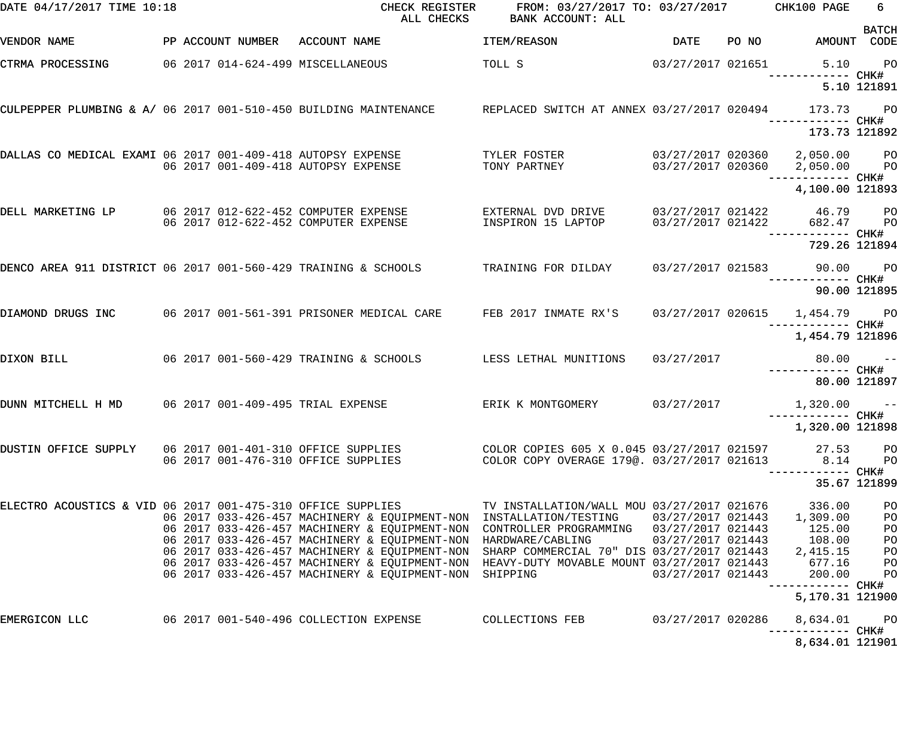| DATE 04/17/2017 TIME 10:18                                       |  | CHECK REGISTER<br>ALL CHECKS                                                                                                                                                                                                                                                                                                                                                                                                                                                            | FROM: 03/27/2017 TO: 03/27/2017 CHK100 PAGE<br>BANK ACCOUNT: ALL                         |                                                             |       |                                                                                                                | 6<br><b>BATCH</b>                                  |
|------------------------------------------------------------------|--|-----------------------------------------------------------------------------------------------------------------------------------------------------------------------------------------------------------------------------------------------------------------------------------------------------------------------------------------------------------------------------------------------------------------------------------------------------------------------------------------|------------------------------------------------------------------------------------------|-------------------------------------------------------------|-------|----------------------------------------------------------------------------------------------------------------|----------------------------------------------------|
| VENDOR NAME                                                      |  | PP ACCOUNT NUMBER ACCOUNT NAME                                                                                                                                                                                                                                                                                                                                                                                                                                                          | ITEM/REASON                                                                              | DATE                                                        | PO NO | AMOUNT CODE                                                                                                    |                                                    |
| CTRMA PROCESSING                                                 |  | 06 2017 014-624-499 MISCELLANEOUS                                                                                                                                                                                                                                                                                                                                                                                                                                                       | TOLL S                                                                                   | 03/27/2017 021651                                           |       | 5.10 PO<br>------------ CHK#                                                                                   |                                                    |
|                                                                  |  |                                                                                                                                                                                                                                                                                                                                                                                                                                                                                         |                                                                                          |                                                             |       |                                                                                                                | 5.10 121891                                        |
| CULPEPPER PLUMBING & A/ 06 2017 001-510-450 BUILDING MAINTENANCE |  |                                                                                                                                                                                                                                                                                                                                                                                                                                                                                         | REPLACED SWITCH AT ANNEX 03/27/2017 020494 173.73                                        |                                                             |       | ------------ CHK#<br>173.73 121892                                                                             | <b>PO</b>                                          |
| DALLAS CO MEDICAL EXAMI 06 2017 001-409-418 AUTOPSY EXPENSE      |  | 06 2017 001-409-418 AUTOPSY EXPENSE                                                                                                                                                                                                                                                                                                                                                                                                                                                     | TYLER FOSTER<br>TONY PARTNEY                                                             |                                                             |       | 03/27/2017 020360  2,050.00  PO<br>03/27/2017 020360  2,050.00  PO                                             |                                                    |
|                                                                  |  |                                                                                                                                                                                                                                                                                                                                                                                                                                                                                         |                                                                                          |                                                             |       | 4,100.00 121893                                                                                                |                                                    |
| DELL MARKETING LP                                                |  | 06 2017 012-622-452 COMPUTER EXPENSE<br>06 2017 012-622-452 COMPUTER EXPENSE                                                                                                                                                                                                                                                                                                                                                                                                            | EXTERNAL DVD DRIVE<br>INSPIRON 15 LAPTOP                                                 | 03/27/2017 021422                                           |       | 03/27/2017 021422 46.79 PO<br>682.47<br>------------ CHK#                                                      | <b>PO</b>                                          |
|                                                                  |  |                                                                                                                                                                                                                                                                                                                                                                                                                                                                                         |                                                                                          |                                                             |       | 729.26 121894                                                                                                  |                                                    |
| DENCO AREA 911 DISTRICT 06 2017 001-560-429 TRAINING & SCHOOLS   |  |                                                                                                                                                                                                                                                                                                                                                                                                                                                                                         | TRAINING FOR DILDAY                                                                      |                                                             |       | 03/27/2017 021583 90.00 PO                                                                                     |                                                    |
|                                                                  |  |                                                                                                                                                                                                                                                                                                                                                                                                                                                                                         |                                                                                          |                                                             |       | 90.00 121895                                                                                                   |                                                    |
| DIAMOND DRUGS INC                                                |  | 06 2017 001-561-391 PRISONER MEDICAL CARE                                                                                                                                                                                                                                                                                                                                                                                                                                               | FEB 2017 INMATE RX'S                                                                     |                                                             |       | 03/27/2017 020615 1,454.79 PO                                                                                  |                                                    |
|                                                                  |  |                                                                                                                                                                                                                                                                                                                                                                                                                                                                                         |                                                                                          |                                                             |       | 1,454.79 121896                                                                                                |                                                    |
| DIXON BILL                                                       |  | 06 2017 001-560-429 TRAINING & SCHOOLS                                                                                                                                                                                                                                                                                                                                                                                                                                                  | LESS LETHAL MUNITIONS                                                                    | 03/27/2017                                                  |       | $80.00 - -$                                                                                                    |                                                    |
|                                                                  |  |                                                                                                                                                                                                                                                                                                                                                                                                                                                                                         |                                                                                          |                                                             |       | 80.00 121897                                                                                                   |                                                    |
| DUNN MITCHELL H MD                                               |  | 06 2017 001-409-495 TRIAL EXPENSE                                                                                                                                                                                                                                                                                                                                                                                                                                                       | ERIK K MONTGOMERY                                                                        | 03/27/2017                                                  |       | $1,320.00$ --                                                                                                  |                                                    |
|                                                                  |  |                                                                                                                                                                                                                                                                                                                                                                                                                                                                                         |                                                                                          |                                                             |       | 1,320.00 121898                                                                                                |                                                    |
| DUSTIN OFFICE SUPPLY                                             |  | 06 2017 001-401-310 OFFICE SUPPLIES<br>06 2017 001-476-310 OFFICE SUPPLIES                                                                                                                                                                                                                                                                                                                                                                                                              | COLOR COPIES 605 X 0.045 03/27/2017 021597<br>COLOR COPY OVERAGE 179@. 03/27/2017 021613 |                                                             |       | 27.53<br>8.14                                                                                                  | P <sub>O</sub><br>PO                               |
|                                                                  |  |                                                                                                                                                                                                                                                                                                                                                                                                                                                                                         |                                                                                          |                                                             |       |                                                                                                                | 35.67 121899                                       |
| ELECTRO ACOUSTICS & VID 06 2017 001-475-310 OFFICE SUPPLIES      |  | 06   2017  033-426-457   MACHINERY & EQUIPMENT-NON   INSTALLATION/TESTING<br>06 2017 033-426-457 MACHINERY & EQUIPMENT-NON CONTROLLER PROGRAMMING 03/27/2017 021443<br>06 2017 033-426-457 MACHINERY & EQUIPMENT-NON HARDWARE/CABLING<br>06 2017 033-426-457 MACHINERY & EQUIPMENT-NON SHARP COMMERCIAL 70" DIS 03/27/2017 021443<br>06 2017 033-426-457 MACHINERY & EQUIPMENT-NON HEAVY-DUTY MOVABLE MOUNT 03/27/2017 021443<br>06 2017 033-426-457 MACHINERY & EQUIPMENT-NON SHIPPING | TV INSTALLATION/WALL MOU 03/27/2017 021676                                               | 03/27/2017 021443<br>03/27/2017 021443<br>03/27/2017 021443 |       | 336.00<br>1,309.00<br>125.00<br>108.00<br>2,415.15<br>677.16<br>200.00<br>------------ CHK#<br>5,170.31 121900 | PO<br>PO<br>PO<br>PO<br>P <sub>O</sub><br>PO<br>PO |
| EMERGICON LLC                                                    |  | 06 2017 001-540-496 COLLECTION EXPENSE                                                                                                                                                                                                                                                                                                                                                                                                                                                  | COLLECTIONS FEB                                                                          | 03/27/2017 020286                                           |       | 8,634.01                                                                                                       | $P$ O                                              |
|                                                                  |  |                                                                                                                                                                                                                                                                                                                                                                                                                                                                                         |                                                                                          |                                                             |       | 8,634.01 121901                                                                                                |                                                    |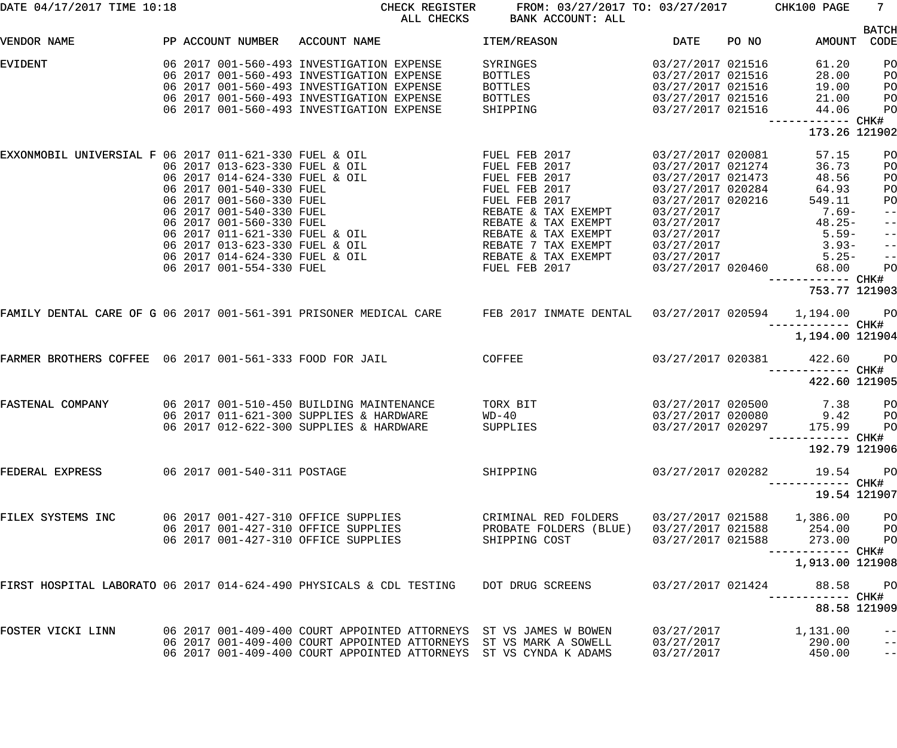| DATE 04/17/2017 TIME 10:18                               |                                | CHECK REGISTER<br>ALL CHECKS                                                         | FROM: 03/27/2017 TO: 03/27/2017 CHK100 PAGE<br>BANK ACCOUNT: ALL                                                    |                   |       |                                      | $7 -$                |
|----------------------------------------------------------|--------------------------------|--------------------------------------------------------------------------------------|---------------------------------------------------------------------------------------------------------------------|-------------------|-------|--------------------------------------|----------------------|
| VENDOR NAME                                              | PP ACCOUNT NUMBER              | ACCOUNT NAME                                                                         | ITEM/REASON                                                                                                         | DATE              | PO NO | AMOUNT                               | <b>BATCH</b><br>CODE |
| <b>EVIDENT</b>                                           |                                | 06 2017 001-560-493 INVESTIGATION EXPENSE                                            | SYRINGES                                                                                                            | 03/27/2017 021516 |       | 61.20                                | PO                   |
|                                                          |                                | 06 2017 001-560-493 INVESTIGATION EXPENSE                                            | BOTTLES                                                                                                             | 03/27/2017 021516 |       | 28.00                                | PO                   |
|                                                          |                                | 06 2017 001-560-493 INVESTIGATION EXPENSE                                            | BOTTLES                                                                                                             | 03/27/2017 021516 |       | 19.00                                | PO                   |
|                                                          |                                | 06 2017 001-560-493 INVESTIGATION EXPENSE                                            | BOTTLES                                                                                                             | 03/27/2017 021516 |       | 21.00                                | PO                   |
|                                                          |                                | 06 2017 001-560-493 INVESTIGATION EXPENSE                                            | SHIPPING                                                                                                            | 03/27/2017 021516 |       | 44.06                                |                      |
|                                                          |                                |                                                                                      |                                                                                                                     |                   |       |                                      | PO                   |
|                                                          |                                |                                                                                      |                                                                                                                     |                   |       | ------------ CHK#<br>173.26 121902   |                      |
| EXXONMOBIL UNIVERSIAL F 06 2017 011-621-330 FUEL & OIL   |                                |                                                                                      | FUEL FEB 2017                                                                                                       | 03/27/2017 020081 |       | 57.15                                | PO                   |
|                                                          | 06 2017 013-623-330 FUEL & OIL |                                                                                      | FUEL FEB 2017                                                                                                       | 03/27/2017 021274 |       | 36.73                                | PO                   |
|                                                          | 06 2017 014-624-330 FUEL & OIL |                                                                                      | FUEL FEB 2017                                                                                                       | 03/27/2017 021473 |       | 48.56                                | PO                   |
|                                                          | 06 2017 001-540-330 FUEL       |                                                                                      | FUEL FEB 2017                                                                                                       | 03/27/2017 020284 |       | 64.93                                | PO                   |
|                                                          | 06 2017 001-560-330 FUEL       |                                                                                      | FUEL FEB 2017                                                                                                       | 03/27/2017 020216 |       | 549.11                               | PO                   |
|                                                          | 06 2017 001-540-330 FUEL       |                                                                                      | REBATE & TAX EXEMPT                                                                                                 | 03/27/2017        |       | $7.69-$                              | $\qquad \qquad -$    |
|                                                          | 06 2017 001-560-330 FUEL       |                                                                                      | REBATE & TAX EXEMPT                                                                                                 | 03/27/2017        |       | $48.25 -$                            | $-\, -$              |
|                                                          | 06 2017 011-621-330 FUEL & OIL |                                                                                      | REBATE & TAX EXEMPT                                                                                                 | 03/27/2017        |       | $5.59-$                              | $-\, -$              |
|                                                          | 06 2017 013-623-330 FUEL & OIL |                                                                                      | REBATE 7 TAX EXEMPT                                                                                                 | 03/27/2017        |       | $3.93-$                              |                      |
|                                                          | 06 2017 014-624-330 FUEL & OIL |                                                                                      |                                                                                                                     |                   |       |                                      | $-\, -$              |
|                                                          |                                |                                                                                      | REBATE & TAX EXEMPT                                                                                                 | 03/27/2017        |       | $5.25-$                              | $\qquad \qquad -$    |
|                                                          | 06 2017 001-554-330 FUEL       |                                                                                      | FUEL FEB 2017                                                                                                       | 03/27/2017 020460 |       | 68.00                                | PO                   |
|                                                          |                                |                                                                                      |                                                                                                                     |                   |       | ------------ CHK#<br>753.77 121903   |                      |
|                                                          |                                |                                                                                      | FAMILY DENTAL CARE OF G 06 2017 001-561-391 PRISONER MEDICAL CARE FEB 2017 INMATE DENTAL 03/27/2017 020594 1,194.00 |                   |       |                                      | <b>PO</b>            |
|                                                          |                                |                                                                                      |                                                                                                                     |                   |       | ------------ CHK#<br>1,194.00 121904 |                      |
| FARMER BROTHERS COFFEE 06 2017 001-561-333 FOOD FOR JAIL |                                | <b>COFFEE</b>                                                                        |                                                                                                                     | 03/27/2017 020381 |       | 422.60                               | PO <sub>1</sub>      |
|                                                          |                                |                                                                                      |                                                                                                                     |                   |       |                                      |                      |
|                                                          |                                |                                                                                      |                                                                                                                     |                   |       | 422.60 121905                        |                      |
| FASTENAL COMPANY                                         |                                | 06 2017 001-510-450 BUILDING MAINTENANCE                                             | TORX BIT                                                                                                            | 03/27/2017 020500 |       | 7.38                                 | P <sub>O</sub>       |
|                                                          |                                | 06 2017 011-621-300 SUPPLIES & HARDWARE                                              | $WD-40$                                                                                                             | 03/27/2017 020080 |       | 9.42                                 | PO                   |
|                                                          |                                | 06 2017 012-622-300 SUPPLIES & HARDWARE                                              | SUPPLIES                                                                                                            | 03/27/2017 020297 |       | 175.99 PO                            |                      |
|                                                          |                                |                                                                                      |                                                                                                                     |                   |       | --------- CHK#                       |                      |
|                                                          |                                |                                                                                      |                                                                                                                     |                   |       | 192.79 121906                        |                      |
| FEDERAL EXPRESS                                          | 06 2017 001-540-311 POSTAGE    |                                                                                      | SHIPPING                                                                                                            | 03/27/2017 020282 |       | 19.54                                | $P$ O                |
|                                                          |                                |                                                                                      |                                                                                                                     |                   |       | --------- CHK#                       |                      |
|                                                          |                                |                                                                                      |                                                                                                                     |                   |       | 19.54 121907                         |                      |
| FILEX SYSTEMS INC                                        |                                | 06 2017 001-427-310 OFFICE SUPPLIES                                                  | CRIMINAL RED FOLDERS                                                                                                |                   |       | 03/27/2017 021588 1,386.00           | P <sub>O</sub>       |
|                                                          |                                | 06 2017 001-427-310 OFFICE SUPPLIES                                                  | PROBATE FOLDERS (BLUE)                                                                                              |                   |       | 03/27/2017 021588 254.00             | P <sub>O</sub>       |
|                                                          |                                | 06 2017 001-427-310 OFFICE SUPPLIES                                                  | SHIPPING COST                                                                                                       | 03/27/2017 021588 |       | 273.00                               | PO                   |
|                                                          |                                |                                                                                      |                                                                                                                     |                   |       | ----------- CHK#<br>1,913.00 121908  |                      |
|                                                          |                                |                                                                                      |                                                                                                                     |                   |       |                                      |                      |
|                                                          |                                | FIRST HOSPITAL LABORATO 06 2017 014-624-490 PHYSICALS & CDL TESTING DOT DRUG SCREENS |                                                                                                                     | 03/27/2017 021424 |       | 88.58<br>--------- CHK#              | P <sub>O</sub>       |
|                                                          |                                |                                                                                      |                                                                                                                     |                   |       |                                      | 88.58 121909         |
| FOSTER VICKI LINN                                        |                                | 06 2017 001-409-400 COURT APPOINTED ATTORNEYS ST VS JAMES W BOWEN                    |                                                                                                                     | 03/27/2017        |       | 1,131.00                             | $ -$                 |
|                                                          |                                | 06 2017 001-409-400 COURT APPOINTED ATTORNEYS                                        | ST VS MARK A SOWELL                                                                                                 | 03/27/2017        |       | 290.00                               | $\qquad \qquad -$    |
|                                                          |                                | 06 2017 001-409-400 COURT APPOINTED ATTORNEYS                                        | ST VS CYNDA K ADAMS                                                                                                 | 03/27/2017        |       | 450.00                               | $- -$                |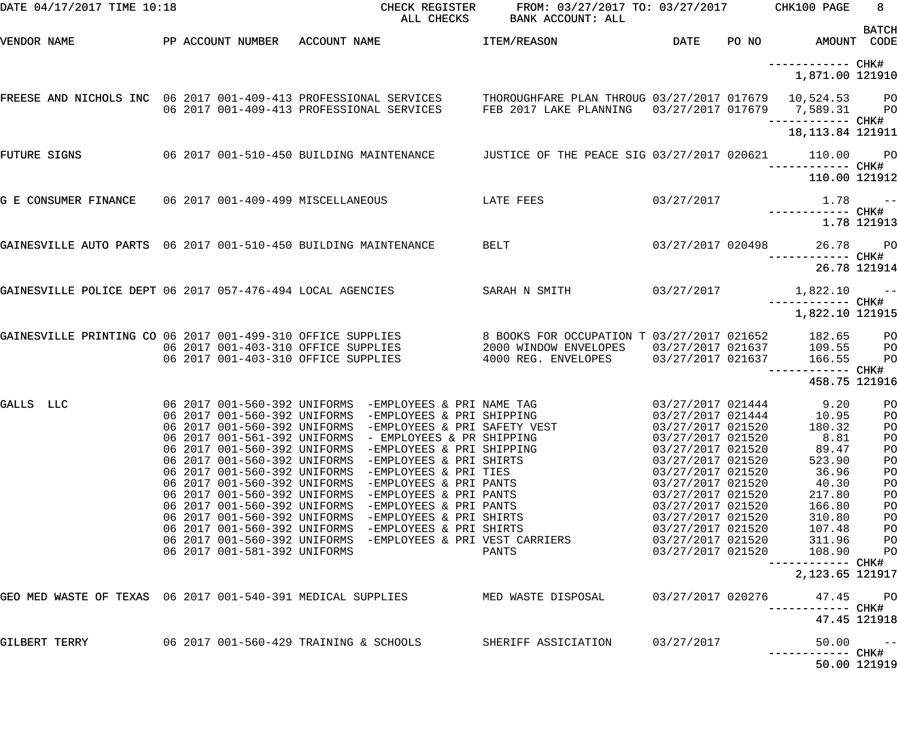| DATE 04/17/2017 TIME 10:18                                      |                                          | ALL CHECKS                                                                                                          | CHECK REGISTER FROM: 03/27/2017 TO: 03/27/2017 CHK100 PAGE<br>BANK ACCOUNT: ALL                                                                                                     |                                        |                                                 | 8 <sup>1</sup>       |
|-----------------------------------------------------------------|------------------------------------------|---------------------------------------------------------------------------------------------------------------------|-------------------------------------------------------------------------------------------------------------------------------------------------------------------------------------|----------------------------------------|-------------------------------------------------|----------------------|
| VENDOR NAME                                                     | PP ACCOUNT NUMBER ACCOUNT NAME           |                                                                                                                     | <b>ITEM/REASON</b>                                                                                                                                                                  | <b>DATE</b>                            | PO NO AMOUNT CODE                               | <b>BATCH</b>         |
|                                                                 |                                          |                                                                                                                     |                                                                                                                                                                                     |                                        | ------------ CHK#<br>1,871.00 121910            |                      |
|                                                                 |                                          | 06 2017 001-409-413 PROFESSIONAL SERVICES                                                                           | FREESE AND NICHOLS INC 06 2017 001-409-413 PROFESSIONAL SERVICES THOROUGHFARE PLAN THROUG 03/27/2017 017679 10,524.53 PO<br>FEB 2017 LAKE PLANNING  03/27/2017 017679  7,589.31  PO |                                        |                                                 |                      |
|                                                                 |                                          |                                                                                                                     |                                                                                                                                                                                     |                                        | 18, 113.84 121911                               |                      |
| FUTURE SIGNS                                                    | 06 2017 001-510-450 BUILDING MAINTENANCE |                                                                                                                     | JUSTICE OF THE PEACE SIG 03/27/2017 020621 110.00                                                                                                                                   |                                        |                                                 | <b>PO</b>            |
|                                                                 |                                          |                                                                                                                     |                                                                                                                                                                                     |                                        | 110.00 121912                                   |                      |
| G E CONSUMER FINANCE 06 2017 001-409-499 MISCELLANEOUS          |                                          | <b>EXAMPLE PEES</b>                                                                                                 |                                                                                                                                                                                     | 03/27/2017                             | $1.78$ ------------ CHK#                        |                      |
|                                                                 |                                          |                                                                                                                     |                                                                                                                                                                                     |                                        |                                                 | 1.78 121913          |
| GAINESVILLE AUTO PARTS 06 2017 001-510-450 BUILDING MAINTENANCE |                                          |                                                                                                                     | <b>BELT</b>                                                                                                                                                                         |                                        | 03/27/2017 020498 26.78 PO<br>------------ CHK# |                      |
|                                                                 |                                          |                                                                                                                     |                                                                                                                                                                                     |                                        |                                                 | 26.78 121914         |
| GAINESVILLE POLICE DEPT 06 2017 057-476-494 LOCAL AGENCIES      |                                          |                                                                                                                     | SARAH N SMITH                                                                                                                                                                       | 03/27/2017                             | $1,822.10$ --                                   |                      |
|                                                                 |                                          |                                                                                                                     |                                                                                                                                                                                     |                                        | 1,822.10 121915                                 |                      |
| GAINESVILLE PRINTING CO 06 2017 001-499-310 OFFICE SUPPLIES     |                                          | 06 2017 001-403-310 OFFICE SUPPLIES                                                                                 | 8 BOOKS FOR OCCUPATION T 03/27/2017 021652 182.65 PO<br>2000 WINDOW ENVELOPES  03/27/2017  021637  109.55  PO                                                                       |                                        |                                                 |                      |
|                                                                 | 06 2017 001-403-310 OFFICE SUPPLIES      |                                                                                                                     | 4000 REG. ENVELOPES 03/27/2017 021637                                                                                                                                               |                                        | 166.55                                          | P <sub>O</sub>       |
|                                                                 |                                          |                                                                                                                     |                                                                                                                                                                                     |                                        | 458.75 121916                                   |                      |
| GALLS LLC                                                       |                                          | 06 2017 001-560-392 UNIFORMS -EMPLOYEES & PRI SHIPPING<br>06 2017 001-560-392 UNIFORMS -EMPLOYEES & PRI SAFETY VEST | 06 2017 001-560-392 UNIFORMS -EMPLOYEES & PRI NAME TAG                     03/27/2017 021444       9.20                                                                             | 03/27/2017 021444<br>03/27/2017 021520 | 10.95<br>180.32                                 | P <sub>O</sub><br>PO |
|                                                                 |                                          | 06 2017 001-561-392 UNIFORMS - EMPLOYEES & PR SHIPPING                                                              |                                                                                                                                                                                     | 03/27/2017 021520                      | 8.81                                            | PO<br>PO             |
|                                                                 |                                          | 06 2017 001-560-392 UNIFORMS -EMPLOYEES & PRI SHIPPING<br>06 2017 001-560-392 UNIFORMS -EMPLOYEES & PRI SHIRTS      |                                                                                                                                                                                     | 03/27/2017 021520<br>03/27/2017 021520 | 89.47<br>523.90                                 | PO<br>PO             |
|                                                                 |                                          | 06 2017 001-560-392 UNIFORMS -EMPLOYEES & PRI TIES                                                                  |                                                                                                                                                                                     | 03/27/2017 021520                      | 36.96                                           | PO                   |
|                                                                 | 06 2017 001-560-392 UNIFORMS             | -EMPLOYEES & PRI PANTS                                                                                              |                                                                                                                                                                                     | 03/27/2017 021520                      | 40.30                                           | PO                   |
|                                                                 | 06 2017 001-560-392 UNIFORMS             | -EMPLOYEES & PRI PANTS                                                                                              |                                                                                                                                                                                     | 03/27/2017 021520                      | 217.80                                          | PO                   |
|                                                                 | 06 2017 001-560-392 UNIFORMS             | -EMPLOYEES & PRI PANTS                                                                                              |                                                                                                                                                                                     | 03/27/2017 021520                      | 166.80                                          | PO                   |
|                                                                 |                                          | 06 2017 001-560-392 UNIFORMS -EMPLOYEES & PRI SHIRTS                                                                |                                                                                                                                                                                     | 03/27/2017 021520                      | 310.80                                          | PO                   |
|                                                                 |                                          | 06 2017 001-560-392 UNIFORMS -EMPLOYEES & PRI SHIRTS                                                                |                                                                                                                                                                                     | 03/27/2017 021520                      | 107.48                                          | PO                   |
|                                                                 |                                          | 06 2017 001-560-392 UNIFORMS -EMPLOYEES & PRI VEST CARRIERS                                                         |                                                                                                                                                                                     | 03/27/2017 021520                      | 311.96                                          | PO                   |
|                                                                 | 06 2017 001-581-392 UNIFORMS             |                                                                                                                     | PANTS                                                                                                                                                                               | 03/27/2017 021520                      | 108.90                                          | PO                   |
|                                                                 |                                          |                                                                                                                     |                                                                                                                                                                                     |                                        | ------------<br>2, 123.65 121917                | CHK#                 |
| GEO MED WASTE OF TEXAS 06 2017 001-540-391 MEDICAL SUPPLIES     |                                          |                                                                                                                     | MED WASTE DISPOSAL                                                                                                                                                                  | 03/27/2017 020276                      | 47.45                                           | PО                   |
|                                                                 |                                          |                                                                                                                     |                                                                                                                                                                                     |                                        | ------------                                    | CHK#<br>47.45 121918 |
| GILBERT TERRY                                                   | 06 2017 001-560-429 TRAINING & SCHOOLS   |                                                                                                                     | SHERIFF ASSICIATION                                                                                                                                                                 | 03/27/2017                             | 50.00                                           | $- -$                |
|                                                                 |                                          |                                                                                                                     |                                                                                                                                                                                     |                                        |                                                 | 50.00 121919         |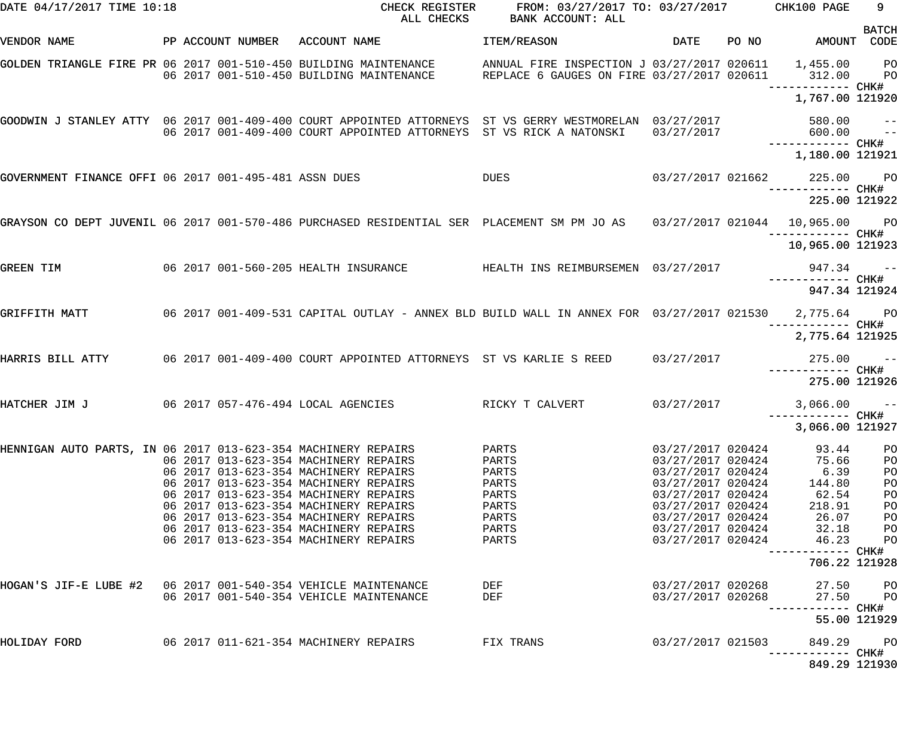| DATE 04/17/2017 TIME 10:18                                    |  | CHECK REGISTER<br>ALL CHECKS                                                                                                                                                              | FROM: 03/27/2017 TO: 03/27/2017 CHK100 PAGE<br>BANK ACCOUNT: ALL                                     |                                        |       |                                      | 9                  |
|---------------------------------------------------------------|--|-------------------------------------------------------------------------------------------------------------------------------------------------------------------------------------------|------------------------------------------------------------------------------------------------------|----------------------------------------|-------|--------------------------------------|--------------------|
| VENDOR NAME                                                   |  | PP ACCOUNT NUMBER ACCOUNT NAME                                                                                                                                                            | ITEM/REASON                                                                                          | DATE                                   | PO NO | AMOUNT CODE                          | <b>BATCH</b>       |
|                                                               |  | GOLDEN TRIANGLE FIRE PR 06 2017 001-510-450 BUILDING MAINTENANCE<br>06 2017 001-510-450 BUILDING MAINTENANCE                                                                              | ANNUAL FIRE INSPECTION J 03/27/2017 020611 1,455.00 PO<br>REPLACE 6 GAUGES ON FIRE 03/27/2017 020611 |                                        |       | 312.00 PO                            |                    |
|                                                               |  |                                                                                                                                                                                           |                                                                                                      |                                        |       | 1,767.00 121920                      |                    |
|                                                               |  | GOODWIN J STANLEY ATTY 06 2017 001-409-400 COURT APPOINTED ATTORNEYS ST VS GERRY WESTMORELAN 03/27/2017<br>06 2017 001-409-400 COURT APPOINTED ATTORNEYS ST VS RICK A NATONSKI 03/27/2017 |                                                                                                      |                                        |       | 580.00 --<br>600.00 --               |                    |
|                                                               |  |                                                                                                                                                                                           |                                                                                                      |                                        |       | 1,180.00 121921                      |                    |
| GOVERNMENT FINANCE OFFI 06 2017 001-495-481 ASSN DUES         |  |                                                                                                                                                                                           | DUES                                                                                                 |                                        |       | 03/27/2017 021662 225.00 PO          |                    |
|                                                               |  |                                                                                                                                                                                           |                                                                                                      |                                        |       | 225.00 121922                        |                    |
|                                                               |  | GRAYSON CO DEPT JUVENIL 06 2017 001-570-486 PURCHASED RESIDENTIAL SER PLACEMENT SM PM JO AS 03/27/2017 021044 10,965.00 PO                                                                |                                                                                                      |                                        |       |                                      |                    |
|                                                               |  |                                                                                                                                                                                           |                                                                                                      |                                        |       | 10,965.00 121923                     |                    |
| <b>GREEN TIM</b>                                              |  | 06 2017 001-560-205 HEALTH INSURANCE THEALTH INS REIMBURSEMEN 03/27/2017                                                                                                                  |                                                                                                      |                                        |       | $947.34 -$<br>------------ CHK#      |                    |
|                                                               |  |                                                                                                                                                                                           |                                                                                                      |                                        |       | 947.34 121924                        |                    |
| GRIFFITH MATT                                                 |  | 06 2017 001-409-531 CAPITAL OUTLAY - ANNEX BLD BUILD WALL IN ANNEX FOR 03/27/2017 021530 2,775.64 PO                                                                                      |                                                                                                      |                                        |       |                                      |                    |
| HARRIS BILL ATTY                                              |  | 06 2017 001-409-400 COURT APPOINTED ATTORNEYS ST VS KARLIE S REED 03/27/2017                                                                                                              |                                                                                                      |                                        |       | 2,775.64 121925<br>$275.00 - -$      |                    |
|                                                               |  |                                                                                                                                                                                           |                                                                                                      |                                        |       | 275.00 121926                        |                    |
| HATCHER JIM J                                                 |  | 06 2017 057-476-494 LOCAL AGENCIES                                                                                                                                                        | RICKY T CALVERT                                                                                      | 03/27/2017                             |       | $3,066.00$ --                        |                    |
|                                                               |  |                                                                                                                                                                                           |                                                                                                      |                                        |       | ------------ CHK#<br>3,066.00 121927 |                    |
| HENNIGAN AUTO PARTS, IN 06 2017 013-623-354 MACHINERY REPAIRS |  | 06 2017 013-623-354 MACHINERY REPAIRS                                                                                                                                                     | PARTS<br>PARTS                                                                                       | 03/27/2017 020424<br>03/27/2017 020424 |       | 93.44<br>75.66                       | PO<br>PO           |
|                                                               |  | 06 2017 013-623-354 MACHINERY REPAIRS<br>06 2017 013-623-354 MACHINERY REPAIRS                                                                                                            | PARTS<br>PARTS                                                                                       | 03/27/2017 020424<br>03/27/2017 020424 |       | 6.39<br>144.80                       | PO<br>PO           |
|                                                               |  | 06 2017 013-623-354 MACHINERY REPAIRS                                                                                                                                                     | PARTS                                                                                                | 03/27/2017 020424                      |       | 62.54                                | PO                 |
|                                                               |  | 06 2017 013-623-354 MACHINERY REPAIRS                                                                                                                                                     | PARTS<br>PARTS                                                                                       | 03/27/2017 020424                      |       | 218.91                               | PO                 |
|                                                               |  | 06 2017 013-623-354 MACHINERY REPAIRS<br>06 2017 013-623-354 MACHINERY REPAIRS                                                                                                            | PARTS                                                                                                | 03/27/2017 020424<br>03/27/2017 020424 |       | 26.07<br>32.18                       | PO<br>PО           |
|                                                               |  | 06 2017 013-623-354 MACHINERY REPAIRS                                                                                                                                                     | PARTS                                                                                                | 03/27/2017 020424                      |       | 46.23                                | P <sub>O</sub>     |
|                                                               |  |                                                                                                                                                                                           |                                                                                                      |                                        |       | 706.22 121928                        |                    |
|                                                               |  | 06 2017 001-540-354 VEHICLE MAINTENANCE                                                                                                                                                   | DEF<br>DEF                                                                                           | 03/27/2017 020268<br>03/27/2017 020268 |       | 27.50<br>27.50<br>------- CHK#       | <b>PO</b><br>$P$ O |
|                                                               |  |                                                                                                                                                                                           |                                                                                                      |                                        |       | 55.00 121929                         |                    |
| HOLIDAY FORD                                                  |  | 06 2017 011-621-354 MACHINERY REPAIRS                                                                                                                                                     | FIX TRANS                                                                                            | 03/27/2017 021503                      |       | 849.29<br>-------- CHK#              | <b>PO</b>          |
|                                                               |  |                                                                                                                                                                                           |                                                                                                      |                                        |       | 849.29 121930                        |                    |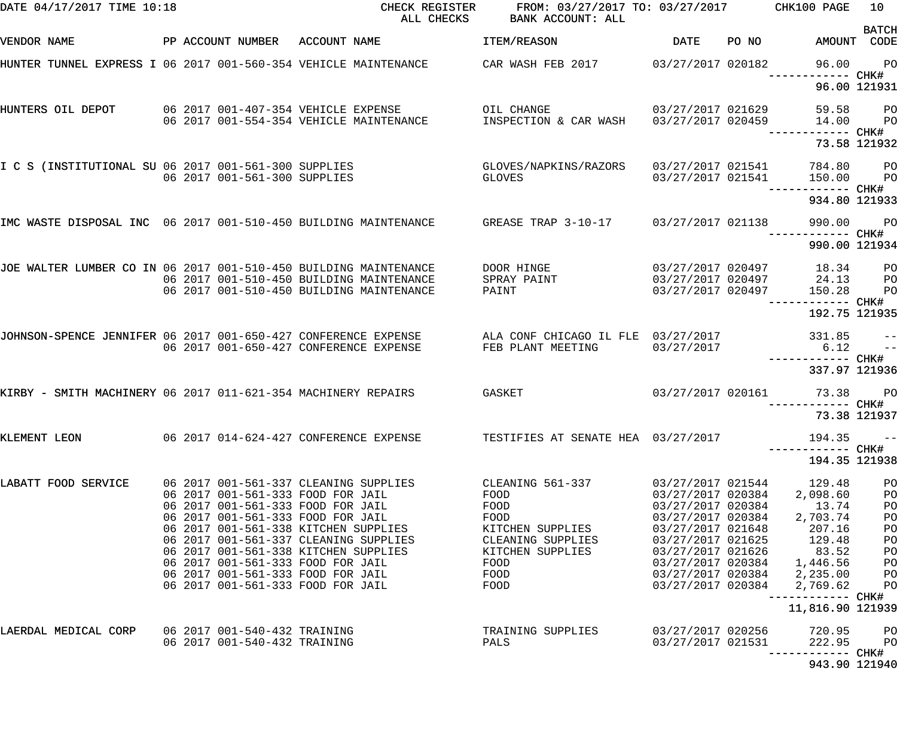| DATE 04/17/2017 TIME 10:18                                       |                                                              | ALL CHECKS                                                                                                                                  | CHECK REGISTER FROM: 03/27/2017 TO: 03/27/2017 CHK100 PAGE<br>BANK ACCOUNT: ALL                                                          |                                        |       |                                                          | 10                   |
|------------------------------------------------------------------|--------------------------------------------------------------|---------------------------------------------------------------------------------------------------------------------------------------------|------------------------------------------------------------------------------------------------------------------------------------------|----------------------------------------|-------|----------------------------------------------------------|----------------------|
| VENDOR NAME                                                      | PP ACCOUNT NUMBER ACCOUNT NAME                               |                                                                                                                                             | ITEM/REASON                                                                                                                              | DATE                                   | PO NO | AMOUNT CODE                                              | <b>BATCH</b>         |
|                                                                  |                                                              | HUNTER TUNNEL EXPRESS I 06 2017 001-560-354 VEHICLE MAINTENANCE                                                                             | CAR WASH FEB 2017 03/27/2017 020182                                                                                                      |                                        |       | 96.00                                                    | $P$ O                |
|                                                                  |                                                              |                                                                                                                                             |                                                                                                                                          |                                        |       |                                                          | 96.00 121931         |
| HUNTERS OIL DEPOT                                                |                                                              | 06 2017 001-407-354 VEHICLE EXPENSE<br>06 2017 001-554-354 VEHICLE MAINTENANCE                                                              | OIL CHANGE THE STATE OF THE STATE OF THE STATE OF THE STATE OF THE STATE OF THE STATE OF THE STATE OF THE STATE<br>INSPECTION & CAR WASH | 03/27/2017 021629<br>03/27/2017 020459 |       | 59.58 PO<br>14.00<br>------ CHK#                         | <b>PO</b>            |
|                                                                  |                                                              |                                                                                                                                             |                                                                                                                                          |                                        |       |                                                          | 73.58 121932         |
|                                                                  |                                                              | I C S (INSTITUTIONAL SU 06 2017 001-561-300 SUPPLIES<br>06 2017 001-561-300 SUPPLIES                                                        | GLOVES/NAPKINS/RAZORS<br>GLOVES                                                                                                          | 03/27/2017 021541<br>03/27/2017 021541 |       | 784.80 PO<br>150.00                                      | <b>PO</b>            |
|                                                                  |                                                              |                                                                                                                                             |                                                                                                                                          |                                        |       | 934.80 121933                                            |                      |
|                                                                  |                                                              | IMC WASTE DISPOSAL INC 06 2017 001-510-450 BUILDING MAINTENANCE GREASE TRAP 3-10-17 03/27/2017 021138                                       |                                                                                                                                          |                                        |       | 990.00                                                   | $P$ O                |
|                                                                  |                                                              |                                                                                                                                             |                                                                                                                                          |                                        |       | 990.00 121934                                            |                      |
| JOE WALTER LUMBER CO IN 06 2017 001-510-450 BUILDING MAINTENANCE |                                                              | 06 2017 001-510-450 BUILDING MAINTENANCE                                                                                                    | DOOR HINGE<br>SPRAY PAINT                                                                                                                |                                        |       | 03/27/2017 020497 18.34 PO<br>03/27/2017 020497 24.13 PO |                      |
|                                                                  |                                                              | 06 2017 001-510-450 BUILDING MAINTENANCE                                                                                                    | PAINT                                                                                                                                    | 03/27/2017 020497                      |       | 150.28                                                   | P <sub>O</sub>       |
|                                                                  |                                                              |                                                                                                                                             |                                                                                                                                          |                                        |       | 192.75 121935                                            |                      |
|                                                                  |                                                              | JOHNSON-SPENCE JENNIFER 06 2017 001-650-427 CONFERENCE EXPENSE ALA CONF CHICAGO IL FLE 03/27/2017<br>06 2017 001-650-427 CONFERENCE EXPENSE | FEB PLANT MEETING                                                                                                                        | 03/27/2017                             |       | 331.85<br>6.12                                           | $ -$<br>$-$          |
|                                                                  |                                                              |                                                                                                                                             |                                                                                                                                          |                                        |       | 337.97 121936                                            |                      |
|                                                                  |                                                              | KIRBY - SMITH MACHINERY 06 2017 011-621-354 MACHINERY REPAIRS                  GASKET                                                       |                                                                                                                                          | 03/27/2017 020161                      |       | 73.38                                                    | <b>PO</b>            |
|                                                                  |                                                              |                                                                                                                                             |                                                                                                                                          |                                        |       | 73.38 121937                                             |                      |
| KLEMENT LEON                                                     |                                                              | 06 2017 014-624-427 CONFERENCE EXPENSE                                                                                                      | TESTIFIES AT SENATE HEA 03/27/2017                                                                                                       |                                        |       | 194.35                                                   | $- -$                |
|                                                                  |                                                              |                                                                                                                                             |                                                                                                                                          |                                        |       | 194.35 121938                                            |                      |
| LABATT FOOD SERVICE                                              |                                                              | 06 2017 001-561-337 CLEANING SUPPLIES<br>06 2017 001-561-333 FOOD FOR JAIL                                                                  | CLEANING 561-337<br>FOOD                                                                                                                 | 03/27/2017 021544<br>03/27/2017 020384 |       | 129.48<br>2,098.60                                       | PO<br>PO             |
|                                                                  |                                                              | 06 2017 001-561-333 FOOD FOR JAIL<br>06 2017 001-561-333 FOOD FOR JAIL                                                                      | FOOD<br>FOOD                                                                                                                             | 03/27/2017 020384<br>03/27/2017 020384 |       | 13.74<br>2,703.74                                        | PO<br>P <sub>O</sub> |
|                                                                  |                                                              | 06 2017 001-561-338 KITCHEN SUPPLIES                                                                                                        | KITCHEN SUPPLIES                                                                                                                         | 03/27/2017 021648                      |       | 207.16                                                   | P <sub>O</sub>       |
|                                                                  |                                                              | 06 2017 001-561-337 CLEANING SUPPLIES                                                                                                       | CLEANING SUPPLIES                                                                                                                        | 03/27/2017 021625                      |       | 129.48                                                   | PO                   |
|                                                                  |                                                              | 06 2017 001-561-338 KITCHEN SUPPLIES<br>06 2017 001-561-333 FOOD FOR JAIL                                                                   | KITCHEN SUPPLIES<br>FOOD                                                                                                                 | 03/27/2017 020384                      |       | 03/27/2017 021626 83.52<br>1,446.56                      | PO<br>PO             |
|                                                                  |                                                              | 06 2017 001-561-333 FOOD FOR JAIL                                                                                                           | FOOD                                                                                                                                     |                                        |       | 03/27/2017 020384 2,235.00                               | P <sub>O</sub>       |
|                                                                  |                                                              | 06 2017 001-561-333 FOOD FOR JAIL                                                                                                           | FOOD                                                                                                                                     | 03/27/2017 020384                      |       | 2,769.62<br>------------ CHK#                            | PO                   |
|                                                                  |                                                              |                                                                                                                                             |                                                                                                                                          |                                        |       | 11,816.90 121939                                         |                      |
| LAERDAL MEDICAL CORP                                             | 06 2017 001-540-432 TRAINING<br>06 2017 001-540-432 TRAINING |                                                                                                                                             | TRAINING SUPPLIES<br>PALS                                                                                                                | 03/27/2017 020256<br>03/27/2017 021531 |       | 720.95<br>222.95                                         | P <sub>O</sub><br>PO |
|                                                                  |                                                              |                                                                                                                                             |                                                                                                                                          |                                        |       | 943.90 121940                                            |                      |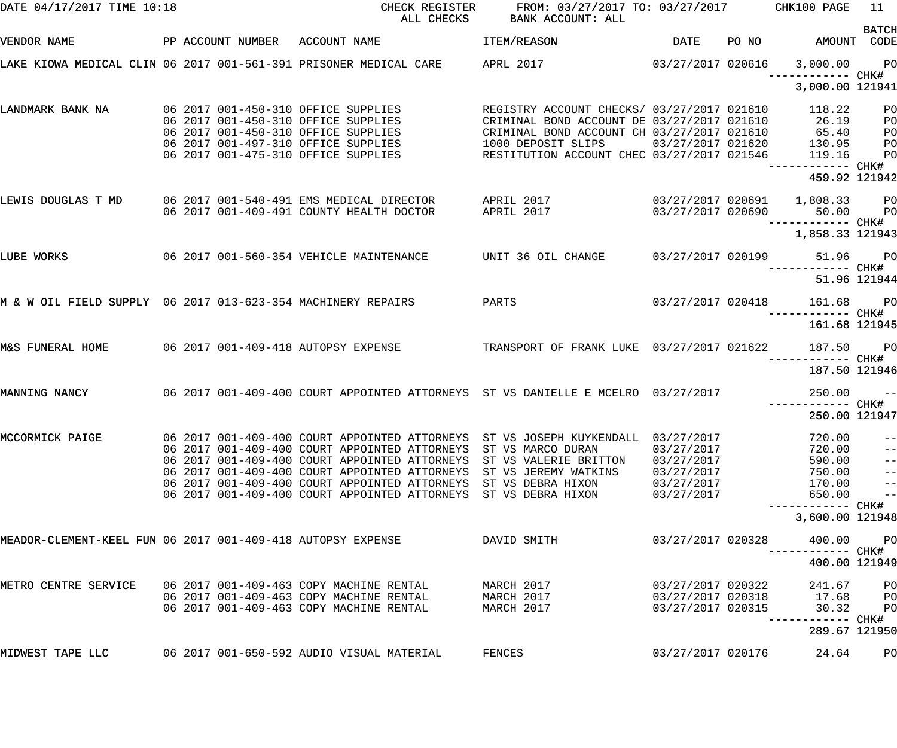| DATE 04/17/2017 TIME 10:18                                   |  | CHECK REGISTER<br>ALL CHECKS                                                                                                                    | FROM: 03/27/2017 TO: 03/27/2017 CHK100 PAGE<br>BANK ACCOUNT: ALL                                               |                                                             |       |                                    | 11                                     |
|--------------------------------------------------------------|--|-------------------------------------------------------------------------------------------------------------------------------------------------|----------------------------------------------------------------------------------------------------------------|-------------------------------------------------------------|-------|------------------------------------|----------------------------------------|
| VENDOR NAME                                                  |  | PP ACCOUNT NUMBER ACCOUNT NAME                                                                                                                  | ITEM/REASON                                                                                                    | DATE                                                        | PO NO | AMOUNT CODE                        | <b>BATCH</b>                           |
|                                                              |  |                                                                                                                                                 |                                                                                                                |                                                             |       | 3,000.00 PO                        |                                        |
|                                                              |  |                                                                                                                                                 |                                                                                                                |                                                             |       | 3,000.00 121941                    |                                        |
| LANDMARK BANK NA                                             |  | 06 2017 001-450-310 OFFICE SUPPLIES<br>06 2017 001-450-310 OFFICE SUPPLIES                                                                      | REGISTRY ACCOUNT CHECKS/ 03/27/2017 021610<br>CRIMINAL BOND ACCOUNT DE 03/27/2017 021610                       |                                                             |       | 118.22<br>26.19                    | P <sub>O</sub><br>PO                   |
|                                                              |  | 06 2017 001-450-310 OFFICE SUPPLIES<br>06 2017 001-497-310 OFFICE SUPPLIES<br>06 2017 001-475-310 OFFICE SUPPLIES                               | CRIMINAL BOND ACCOUNT CH 03/27/2017 021610<br>1000 DEPOSIT SLIPS<br>RESTITUTION ACCOUNT CHEC 03/27/2017 021546 | 03/27/2017 021620                                           |       | 65.40<br>130.95<br>119.16          | PO<br>P <sub>O</sub><br>PO             |
|                                                              |  |                                                                                                                                                 |                                                                                                                |                                                             |       | ------------ CHK#<br>459.92 121942 |                                        |
|                                                              |  | LEWIS DOUGLAS T MD 06 2017 001-540-491 EMS MEDICAL DIRECTOR APRIL 2017<br>06 2017 001-409-491 COUNTY HEALTH DOCTOR                              | APRIL 2017                                                                                                     | 03/27/2017 020690                                           |       | 50.00 PO                           |                                        |
|                                                              |  |                                                                                                                                                 |                                                                                                                |                                                             |       | 1,858.33 121943                    |                                        |
| LUBE WORKS                                                   |  | 06 2017 001-560-354 VEHICLE MAINTENANCE UNIT 36 OIL CHANGE                                                                                      |                                                                                                                | 03/27/2017 020199                                           |       | 51.96 PO                           |                                        |
|                                                              |  |                                                                                                                                                 |                                                                                                                |                                                             |       |                                    | 51.96 121944                           |
| M & W OIL FIELD SUPPLY 06 2017 013-623-354 MACHINERY REPAIRS |  |                                                                                                                                                 | PARTS                                                                                                          | 03/27/2017 020418                                           |       | 161.68 PO                          |                                        |
|                                                              |  |                                                                                                                                                 |                                                                                                                |                                                             |       | 161.68 121945                      |                                        |
| M&S FUNERAL HOME                                             |  | 06 2017 001-409-418 AUTOPSY EXPENSE                                                                                                             | TRANSPORT OF FRANK LUKE 03/27/2017 021622                                                                      |                                                             |       | 187.50 PO                          |                                        |
|                                                              |  |                                                                                                                                                 |                                                                                                                |                                                             |       | 187.50 121946                      |                                        |
| MANNING NANCY                                                |  | 06 2017 001-409-400 COURT APPOINTED ATTORNEYS ST VS DANIELLE E MCELRO 03/27/2017                                                                |                                                                                                                |                                                             |       | $250.00 - -$                       |                                        |
|                                                              |  |                                                                                                                                                 |                                                                                                                |                                                             |       | 250.00 121947                      |                                        |
| MCCORMICK PAIGE                                              |  | 06 2017 001-409-400 COURT APPOINTED ATTORNEYS<br>06 2017 001-409-400 COURT APPOINTED ATTORNEYS<br>06 2017 001-409-400 COURT APPOINTED ATTORNEYS | ST VS JOSEPH KUYKENDALL<br>ST VS MARCO DURAN<br>ST VS VALERIE BRITTON                                          | 03/27/2017<br>03/27/2017<br>03/27/2017                      |       | 720.00<br>720.00<br>590.00         | $- -$<br>$- -$<br>$\qquad \qquad -$    |
|                                                              |  | 06 2017 001-409-400 COURT APPOINTED ATTORNEYS<br>06 2017 001-409-400 COURT APPOINTED ATTORNEYS                                                  | ST VS JEREMY WATKINS<br>ST VS DEBRA HIXON                                                                      | 03/27/2017<br>03/27/2017                                    |       | 750.00<br>170.00                   | $\qquad \qquad -$<br>$\qquad \qquad -$ |
|                                                              |  | 06 2017 001-409-400 COURT APPOINTED ATTORNEYS                                                                                                   | ST VS DEBRA HIXON                                                                                              | 03/27/2017                                                  |       | 650.00<br>—————————— CHK#          | $\qquad \qquad -$                      |
|                                                              |  |                                                                                                                                                 |                                                                                                                |                                                             |       | 3,600.00 121948                    |                                        |
| MEADOR-CLEMENT-KEEL FUN 06 2017 001-409-418 AUTOPSY EXPENSE  |  |                                                                                                                                                 | DAVID SMITH                                                                                                    | 03/27/2017 020328                                           |       | 400.00<br>------ CHK#              | P <sub>O</sub>                         |
|                                                              |  |                                                                                                                                                 |                                                                                                                |                                                             |       | 400.00 121949                      |                                        |
| METRO CENTRE SERVICE                                         |  | 06 2017 001-409-463 COPY MACHINE RENTAL<br>06 2017 001-409-463 COPY MACHINE RENTAL<br>06 2017 001-409-463 COPY MACHINE RENTAL                   | MARCH 2017<br>MARCH 2017<br>MARCH 2017                                                                         | 03/27/2017 020322<br>03/27/2017 020318<br>03/27/2017 020315 |       | 241.67<br>17.68<br>30.32           | PO<br>PO<br>PO                         |
|                                                              |  |                                                                                                                                                 |                                                                                                                |                                                             |       | ------------ CHK#<br>289.67 121950 |                                        |
| MIDWEST TAPE LLC                                             |  | 06 2017 001-650-592 AUDIO VISUAL MATERIAL                                                                                                       | FENCES                                                                                                         | 03/27/2017 020176                                           |       | 24.64                              | PO                                     |
|                                                              |  |                                                                                                                                                 |                                                                                                                |                                                             |       |                                    |                                        |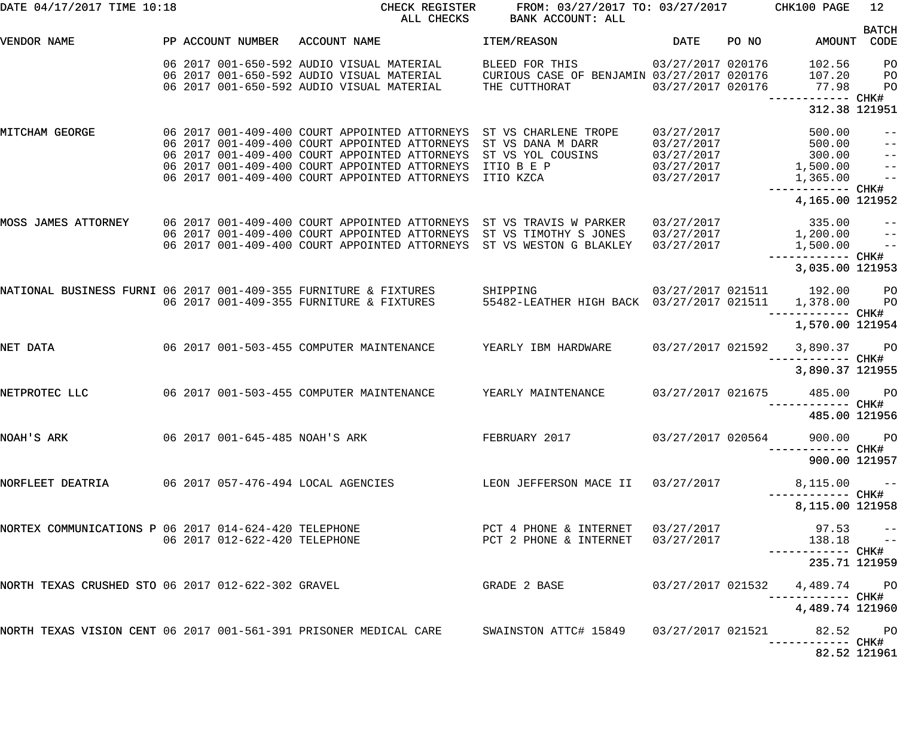| DATE 04/17/2017 TIME 10:18                                       |                   | CHECK REGISTER<br>ALL CHECKS                                                                                                                                                                                                                                           | FROM: 03/27/2017 TO: 03/27/2017 CHK100 PAGE<br>BANK ACCOUNT: ALL              |                                                                    |       |                                                     | 12                                                       |
|------------------------------------------------------------------|-------------------|------------------------------------------------------------------------------------------------------------------------------------------------------------------------------------------------------------------------------------------------------------------------|-------------------------------------------------------------------------------|--------------------------------------------------------------------|-------|-----------------------------------------------------|----------------------------------------------------------|
| VENDOR NAME                                                      | PP ACCOUNT NUMBER | ACCOUNT NAME                                                                                                                                                                                                                                                           | ITEM/REASON                                                                   | <b>DATE</b>                                                        | PO NO | AMOUNT CODE                                         | <b>BATCH</b>                                             |
|                                                                  |                   | 06 2017 001-650-592 AUDIO VISUAL MATERIAL<br>06 2017 001-650-592 AUDIO VISUAL MATERIAL<br>06 2017 001-650-592 AUDIO VISUAL MATERIAL                                                                                                                                    | BLEED FOR THIS<br>CURIOUS CASE OF BENJAMIN 03/27/2017 020176<br>THE CUTTHORAT | 03/27/2017 020176<br>03/27/2017 020176                             |       | 102.56<br>107.20<br>77.98                           | P <sub>O</sub><br>$P$ O<br>P <sub>O</sub>                |
|                                                                  |                   |                                                                                                                                                                                                                                                                        |                                                                               |                                                                    |       | 312.38 121951                                       |                                                          |
| MITCHAM GEORGE                                                   |                   | 06 2017 001-409-400 COURT APPOINTED ATTORNEYS ST VS CHARLENE TROPE<br>06 2017 001-409-400 COURT APPOINTED ATTORNEYS<br>06 2017 001-409-400 COURT APPOINTED ATTORNEYS<br>06 2017 001-409-400 COURT APPOINTED ATTORNEYS<br>06 2017 001-409-400 COURT APPOINTED ATTORNEYS | ST VS DANA M DARR<br>ST VS YOL COUSINS<br>ITIO B E P<br>ITIO KZCA             | 03/27/2017<br>03/27/2017<br>03/27/2017<br>03/27/2017<br>03/27/2017 |       | 500.00<br>500.00<br>300.00<br>1,500.00<br>1,365.00  | $-\:\:-$<br>$ -$<br>$\frac{-}{1}$<br>$\frac{1}{2}$       |
|                                                                  |                   |                                                                                                                                                                                                                                                                        |                                                                               |                                                                    |       | 4,165.00 121952                                     |                                                          |
| MOSS JAMES ATTORNEY                                              |                   | 06 2017 001-409-400 COURT APPOINTED ATTORNEYS ST VS TRAVIS W PARKER<br>06 2017 001-409-400 COURT APPOINTED ATTORNEYS<br>06 2017 001-409-400 COURT APPOINTED ATTORNEYS                                                                                                  | ST VS TIMOTHY S JONES<br>ST VS WESTON G BLAKLEY                               | 03/27/2017<br>03/27/2017<br>03/27/2017                             |       | 335.00<br>1,200.00<br>1,500.00<br>------------ CHK# | $\qquad \qquad -$<br>$\overline{a}$<br>$\equiv$ $\equiv$ |
|                                                                  |                   |                                                                                                                                                                                                                                                                        |                                                                               |                                                                    |       | 3,035.00 121953                                     |                                                          |
| NATIONAL BUSINESS FURNI 06 2017 001-409-355 FURNITURE & FIXTURES |                   | 06 2017 001-409-355 FURNITURE & FIXTURES                                                                                                                                                                                                                               | SHIPPING<br>55482-LEATHER HIGH BACK 03/27/2017 021511                         |                                                                    |       | 03/27/2017 021511 192.00 PO<br>1,378.00             | $P$ O                                                    |
|                                                                  |                   |                                                                                                                                                                                                                                                                        |                                                                               |                                                                    |       | 1,570.00 121954                                     |                                                          |
| NET DATA                                                         |                   | 06 2017 001-503-455 COMPUTER MAINTENANCE                                                                                                                                                                                                                               | YEARLY IBM HARDWARE                                                           | 03/27/2017 021592                                                  |       | 3,890.37 PO                                         |                                                          |
|                                                                  |                   |                                                                                                                                                                                                                                                                        |                                                                               |                                                                    |       | 3,890.37 121955                                     |                                                          |
| NETPROTEC LLC                                                    |                   | 06 2017 001-503-455 COMPUTER MAINTENANCE                                                                                                                                                                                                                               | YEARLY MAINTENANCE                                                            | 03/27/2017 021675                                                  |       | 485.00                                              | <b>PO</b>                                                |
|                                                                  |                   |                                                                                                                                                                                                                                                                        |                                                                               |                                                                    |       | 485.00 121956                                       |                                                          |
| NOAH'S ARK                                                       |                   | 06 2017 001-645-485 NOAH'S ARK                                                                                                                                                                                                                                         | FEBRUARY 2017 03/27/2017 020564                                               |                                                                    |       | 900.00 PO                                           |                                                          |
|                                                                  |                   |                                                                                                                                                                                                                                                                        |                                                                               |                                                                    |       | 900.00 121957                                       |                                                          |
|                                                                  |                   | NORFLEET DEATRIA 600 000 2017 057-476-494 LOCAL AGENCIES And LEON JEFFERSON MACE II 03/27/2017                                                                                                                                                                         |                                                                               |                                                                    |       | $8,115.00 - -$<br>----------- CHK#                  |                                                          |
|                                                                  |                   |                                                                                                                                                                                                                                                                        |                                                                               |                                                                    |       | 8,115.00 121958                                     |                                                          |
|                                                                  |                   | NORTEX COMMUNICATIONS P 06 2017 014-624-420 TELEPHONE<br>06 2017 012-622-420 TELEPHONE                                                                                                                                                                                 | PCT 4 PHONE & INTERNET 03/27/2017<br>PCT 2 PHONE & INTERNET 03/27/2017        |                                                                    |       | $97.53$ --<br>138.18 --<br>----------- CHK#         |                                                          |
|                                                                  |                   |                                                                                                                                                                                                                                                                        |                                                                               |                                                                    |       | 235.71 121959                                       |                                                          |
| NORTH TEXAS CRUSHED STO 06 2017 012-622-302 GRAVEL               |                   |                                                                                                                                                                                                                                                                        | GRADE 2 BASE                                                                  |                                                                    |       | 03/27/2017 021532  4,489.74  PO                     |                                                          |
|                                                                  |                   |                                                                                                                                                                                                                                                                        |                                                                               |                                                                    |       | 4,489.74 121960                                     |                                                          |
|                                                                  |                   | NORTH TEXAS VISION CENT 06 2017 001-561-391 PRISONER MEDICAL CARE      SWAINSTON ATTC# 15849    03/27/2017 021521                                                                                                                                                      |                                                                               |                                                                    |       | 82.52 PO                                            |                                                          |
|                                                                  |                   |                                                                                                                                                                                                                                                                        |                                                                               |                                                                    |       | 82.52 121961                                        |                                                          |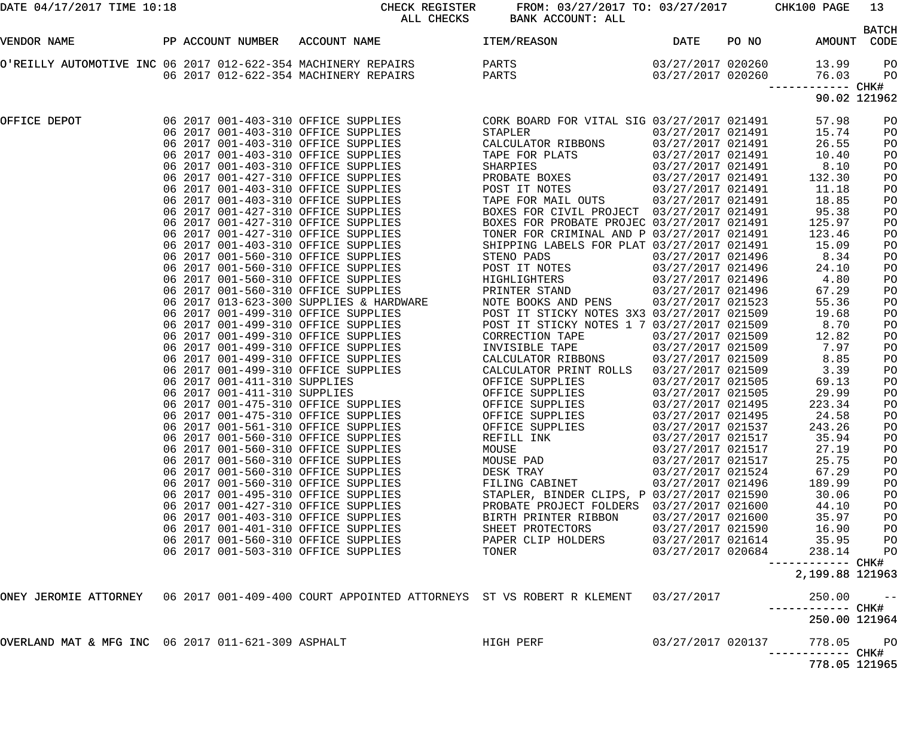| DATE 04/17/2017 TIME 10:18                         |                                | CHECK REGISTER<br>ALL CHECKS                                                                                          | FROM: 03/27/2017 TO: 03/27/2017 CHK100 PAGE<br>BANK ACCOUNT: ALL |                                        |       |                                   | 13<br><b>BATCH</b> |
|----------------------------------------------------|--------------------------------|-----------------------------------------------------------------------------------------------------------------------|------------------------------------------------------------------|----------------------------------------|-------|-----------------------------------|--------------------|
| VENDOR NAME                                        | PP ACCOUNT NUMBER ACCOUNT NAME |                                                                                                                       | <b>ITEM/REASON</b>                                               | DATE                                   | PO NO | AMOUNT                            | CODE               |
|                                                    |                                | O'REILLY AUTOMOTIVE INC 06 2017 012-622-354 MACHINERY REPAIRS PARTS<br>06 2017 012-622-354 MACHINERY REPAIRS PARTS    |                                                                  | 03/27/2017 020260<br>03/27/2017 020260 |       | 13.99<br>76.03                    | PO<br>PO           |
|                                                    |                                |                                                                                                                       |                                                                  |                                        |       | ------ CHK#<br>90.02 121962       |                    |
| OFFICE DEPOT                                       |                                |                                                                                                                       |                                                                  |                                        |       | 57.98                             | PO                 |
|                                                    |                                | 06 2017 001-403-310 OFFICE SUPPLIES                                                                                   | STAPLER                                                          | 03/27/2017 021491                      |       | 15.74                             | PO                 |
|                                                    |                                | 06 2017 001-403-310 OFFICE SUPPLIES                                                                                   | CALCULATOR RIBBONS                                               | 03/27/2017 021491                      |       | 26.55                             | PO                 |
|                                                    |                                | 06 2017 001-403-310 OFFICE SUPPLIES                                                                                   | TAPE FOR PLATS                                                   | 03/27/2017 021491                      |       | 10.40                             | PO                 |
|                                                    |                                | 06 2017 001-403-310 OFFICE SUPPLIES                                                                                   | SHARPIES                                                         | 03/27/2017 021491                      |       | 8.10                              | PO                 |
|                                                    |                                | 06 2017 001-427-310 OFFICE SUPPLIES<br>06 2017 001-403-310 OFFICE SUPPLIES                                            | PROBATE BOXES                                                    | 03/27/2017 021491<br>03/27/2017 021491 |       | 132.30                            | PO                 |
|                                                    |                                | 06 2017 001-403-310 OFFICE SUPPLIES                                                                                   | POST IT NOTES<br>TAPE FOR MAIL OUTS 03/27/2017 021491            |                                        |       | 11.18<br>18.85                    | PO                 |
|                                                    |                                | 06 2017 001-427-310 OFFICE SUPPLIES                                                                                   | BOXES FOR CIVIL PROJECT 03/27/2017 021491                        |                                        |       | 95.38                             | PO<br>PO           |
|                                                    |                                | 06 2017 001-427-310 OFFICE SUPPLIES                                                                                   | BOXES FOR PROBATE PROJEC 03/27/2017 021491                       |                                        |       | 125.97                            | PO                 |
|                                                    |                                | 06 2017 001-427-310 OFFICE SUPPLIES                                                                                   | TONER FOR CRIMINAL AND P 03/27/2017 021491                       |                                        |       | 123.46                            | PO                 |
|                                                    |                                | 06 2017 001-403-310 OFFICE SUPPLIES                                                                                   | SHIPPING LABELS FOR PLAT 03/27/2017 021491                       |                                        |       | 15.09                             | PO                 |
|                                                    |                                | 06 2017 001-560-310 OFFICE SUPPLIES                                                                                   | STENO PADS                                                       | 03/27/2017 021496                      |       | 8.34                              | PO                 |
|                                                    |                                | 06 2017 001-560-310 OFFICE SUPPLIES                                                                                   | POST IT NOTES                                                    | 03/27/2017 021496                      |       | 24.10                             | PO                 |
|                                                    |                                | 06 2017 001-560-310 OFFICE SUPPLIES                                                                                   | HIGHLIGHTERS                                                     | 03/27/2017 021496                      |       | 4.80                              | PO                 |
|                                                    |                                | 06 2017 001-560-310 OFFICE SUPPLIES                                                                                   | PRINTER STAND                                                    | 03/27/2017 021496                      |       | 67.29                             | PO                 |
|                                                    |                                |                                                                                                                       | NOTE BOOKS AND PENS 03/27/2017 021523                            |                                        |       | 55.36                             | PO                 |
|                                                    |                                |                                                                                                                       | POST IT STICKY NOTES 3X3 03/27/2017 021509                       |                                        |       | 19.68                             | PO                 |
|                                                    |                                | 06 2017 013-623-300 SUPPLIES & HARDWARE<br>06 2017 001-499-310 OFFICE SUPPLIES<br>06 2017 001-499-310 OFFICE SUPPLIES | POST IT STICKY NOTES 1 7 03/27/2017 021509                       |                                        |       | 8.70                              | PO                 |
|                                                    |                                | 06 2017 001-499-310 OFFICE SUPPLIES                                                                                   | CORRECTION TAPE                                                  | 03/27/2017 021509                      |       | 12.82                             | PO                 |
|                                                    |                                | 06 2017 001-499-310 OFFICE SUPPLIES                                                                                   | INVISIBLE TAPE                                                   | 03/27/2017 021509                      |       | 7.97                              | PO                 |
|                                                    |                                | 06 2017 001-499-310 OFFICE SUPPLIES                                                                                   | CALCULATOR RIBBONS                                               | 03/27/2017 021509                      |       | 8.85                              | PO                 |
|                                                    |                                | 06 2017 001-499-310 OFFICE SUPPLIES                                                                                   | CALCULATOR PRINT ROLLS                                           | 03/27/2017 021509                      |       | 3.39                              | PO                 |
|                                                    | 06 2017 001-411-310 SUPPLIES   |                                                                                                                       | OFFICE SUPPLIES                                                  | 03/27/2017 021505                      |       | 69.13                             | PO                 |
|                                                    |                                |                                                                                                                       | OFFICE SUPPLIES                                                  | 03/27/2017 021505                      |       | 29.99                             | PO                 |
|                                                    |                                | 06 2017 001-411-310 SUPPLIES<br>06 2017 001-475-310 OFFICE SUPPLIES                                                   | OFFICE SUPPLIES                                                  | 03/27/2017 021495                      |       | 223.34                            | PO                 |
|                                                    |                                | 06 2017 001-475-310 OFFICE SUPPLIES                                                                                   | OFFICE SUPPLIES                                                  | 03/27/2017 021495                      |       | 24.58                             | PO                 |
|                                                    |                                | 06 2017 001-561-310 OFFICE SUPPLIES                                                                                   | OFFICE SUPPLIES                                                  | 03/27/2017 021537                      |       | 243.26                            | PO                 |
|                                                    |                                | 06 2017 001-560-310 OFFICE SUPPLIES                                                                                   | REFILL INK                                                       | 03/27/2017 021517                      |       | 35.94                             | PO                 |
|                                                    |                                | 06 2017 001-560-310 OFFICE SUPPLIES<br>06 2017 001-560-310 OFFICE SUPPLIES                                            | MOUSE                                                            | 03/27/2017 021517<br>03/27/2017 021517 |       | 27.19                             | PO                 |
|                                                    |                                | 06 2017 001-560-310 OFFICE SUPPLIES                                                                                   | MOUSE PAD<br>DESK TRAY                                           | 03/27/2017 021524                      |       | 25.75<br>67.29                    | PO                 |
|                                                    |                                | 06 2017 001-560-310 OFFICE SUPPLIES                                                                                   | FILING CABINET                                                   | 03/27/2017 021496                      |       | 189.99                            | PO<br>PO           |
|                                                    |                                | 06 2017 001-495-310 OFFICE SUPPLIES                                                                                   | STAPLER, BINDER CLIPS, P 03/27/2017 021590                       |                                        |       | 30.06                             | PO                 |
|                                                    |                                | 06 2017 001-427-310 OFFICE SUPPLIES                                                                                   | PROBATE PROJECT FOLDERS 03/27/2017 021600                        |                                        |       | 44.10                             | PO                 |
|                                                    |                                | 06 2017 001-403-310 OFFICE SUPPLIES                                                                                   | BIRTH PRINTER RIBBON                                             | 03/27/2017 021600                      |       | 35.97                             | PO                 |
|                                                    |                                | 06 2017 001-401-310 OFFICE SUPPLIES                                                                                   | SHEET PROTECTORS                                                 | 03/27/2017 021590                      |       | 16.90                             | PO                 |
|                                                    |                                | 06 2017 001-560-310 OFFICE SUPPLIES                                                                                   | PAPER CLIP HOLDERS                                               | 03/27/2017 021614                      |       | 35.95                             | PO                 |
|                                                    |                                | 06 2017 001-503-310 OFFICE SUPPLIES                                                                                   | TONER                                                            | 03/27/2017 020684                      |       | 238.14                            | PO                 |
|                                                    |                                |                                                                                                                       |                                                                  |                                        |       | ------------ CHK#                 |                    |
|                                                    |                                |                                                                                                                       |                                                                  |                                        |       | 2,199.88 121963                   |                    |
|                                                    |                                | ONEY JEROMIE ATTORNEY 06 2017 001-409-400 COURT APPOINTED ATTORNEYS ST VS ROBERT R KLEMENT                            |                                                                  | 03/27/2017                             |       | 250.00                            | $ -$               |
|                                                    |                                |                                                                                                                       |                                                                  |                                        |       | 250.00 121964                     |                    |
| OVERLAND MAT & MFG INC 06 2017 011-621-309 ASPHALT |                                |                                                                                                                       | HIGH PERF                                                        | 03/27/2017 020137                      |       | 778.05                            | $P$ O              |
|                                                    |                                |                                                                                                                       |                                                                  |                                        |       | ----------- CHK#<br>778.05 121965 |                    |
|                                                    |                                |                                                                                                                       |                                                                  |                                        |       |                                   |                    |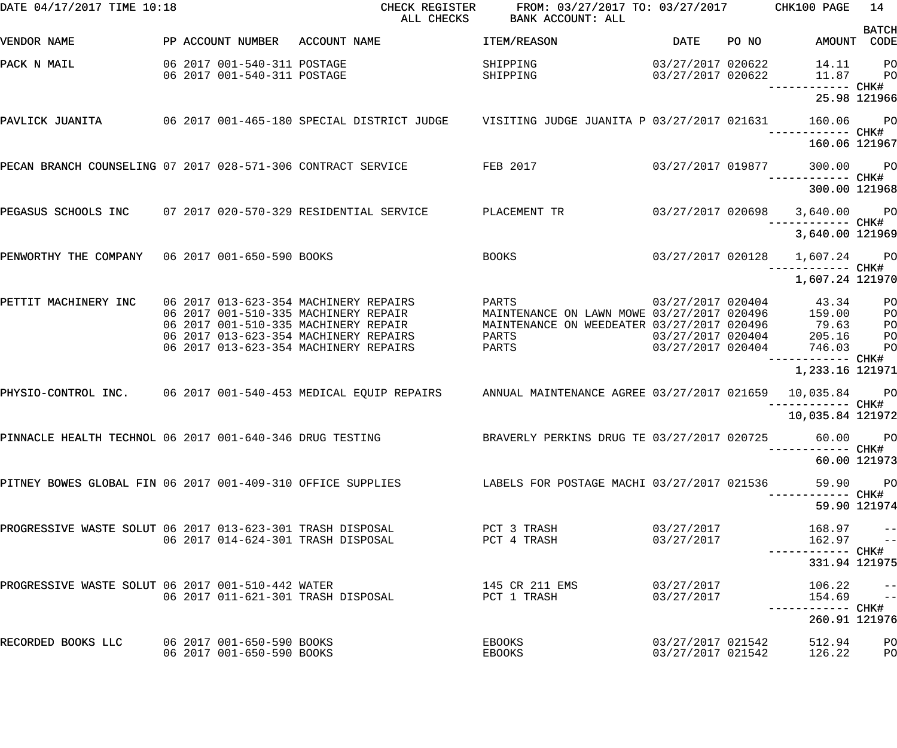| DATE 04/17/2017 TIME 10:18                                   |                                                            | CHECK REGISTER<br>ALL CHECKS                                                                                          | FROM: 03/27/2017 TO: 03/27/2017 CHK100 PAGE<br>BANK ACCOUNT: ALL                   |                                        |       |                                                    | 14                               |
|--------------------------------------------------------------|------------------------------------------------------------|-----------------------------------------------------------------------------------------------------------------------|------------------------------------------------------------------------------------|----------------------------------------|-------|----------------------------------------------------|----------------------------------|
| VENDOR NAME                                                  | PP ACCOUNT NUMBER                                          | ACCOUNT NAME                                                                                                          | ITEM/REASON                                                                        | DATE                                   | PO NO | AMOUNT CODE                                        | <b>BATCH</b>                     |
| PACK N MAIL                                                  | 06 2017 001-540-311 POSTAGE<br>06 2017 001-540-311 POSTAGE |                                                                                                                       | SHIPPING<br>SHIPPING                                                               | 03/27/2017 020622<br>03/27/2017 020622 |       | 14.11<br>11.87                                     | P <sub>O</sub><br><b>PO</b>      |
|                                                              |                                                            |                                                                                                                       |                                                                                    |                                        |       | 25.98 121966                                       |                                  |
|                                                              |                                                            | PAVLICK JUANITA 600 000 001-465-180 SPECIAL DISTRICT JUDGE 60 VISITING JUDGE JUANITA P 03/27/2017 021631              |                                                                                    |                                        |       | 160.06 PO                                          |                                  |
|                                                              |                                                            |                                                                                                                       |                                                                                    |                                        |       | 160.06 121967                                      |                                  |
| PECAN BRANCH COUNSELING 07 2017 028-571-306 CONTRACT SERVICE |                                                            |                                                                                                                       | FEB 2017                                                                           | 03/27/2017 019877                      |       | 300.00 PO                                          |                                  |
|                                                              |                                                            |                                                                                                                       |                                                                                    |                                        |       | 300.00 121968                                      |                                  |
| PEGASUS SCHOOLS INC 07 2017 020-570-329 RESIDENTIAL SERVICE  |                                                            |                                                                                                                       | PLACEMENT TR                                                                       | 03/27/2017 020698                      |       | 3,640.00 PO                                        |                                  |
|                                                              |                                                            |                                                                                                                       |                                                                                    |                                        |       | 3,640.00 121969                                    |                                  |
| PENWORTHY THE COMPANY 06 2017 001-650-590 BOOKS              |                                                            |                                                                                                                       | <b>BOOKS</b>                                                                       |                                        |       | 03/27/2017 020128 1,607.24 PO<br>------------ CHK# |                                  |
|                                                              |                                                            |                                                                                                                       |                                                                                    |                                        |       | 1,607.24 121970                                    |                                  |
| PETTIT MACHINERY INC                                         |                                                            | 06 2017 013-623-354 MACHINERY REPAIRS<br>06 2017 001-510-335 MACHINERY REPAIR                                         | PARTS 03/27/2017 020404 43.34<br>MAINTENANCE ON LAWN MOWE 03/27/2017 020496 159.00 |                                        |       |                                                    | P <sub>O</sub><br>P <sub>O</sub> |
|                                                              |                                                            | 06 2017 001-510-335 MACHINERY REPAIR                                                                                  | MAINTENANCE ON WEEDEATER 03/27/2017 020496                                         |                                        |       |                                                    | PO                               |
|                                                              |                                                            | 06 2017 013-623-354 MACHINERY REPAIRS                                                                                 | PARTS                                                                              | 03/27/2017 020404                      |       | $79.63$<br>$205.16$                                | PO                               |
|                                                              |                                                            | 06 2017 013-623-354 MACHINERY REPAIRS                                                                                 | PARTS                                                                              | 03/27/2017 020404                      |       | 746.03                                             | PO                               |
|                                                              |                                                            |                                                                                                                       |                                                                                    |                                        |       | —————————— CHK#<br>1,233.16 121971                 |                                  |
|                                                              |                                                            | PHYSIO-CONTROL INC. 06 2017 001-540-453 MEDICAL EQUIP REPAIRS ANNUAL MAINTENANCE AGREE 03/27/2017 021659 10,035.84 PO |                                                                                    |                                        |       |                                                    |                                  |
|                                                              |                                                            |                                                                                                                       |                                                                                    |                                        |       | 10,035.84 121972                                   |                                  |
| PINNACLE HEALTH TECHNOL 06 2017 001-640-346 DRUG TESTING     |                                                            |                                                                                                                       | BRAVERLY PERKINS DRUG TE 03/27/2017 020725                                         |                                        |       | 60.00 PO                                           |                                  |
|                                                              |                                                            |                                                                                                                       |                                                                                    |                                        |       | 60.00 121973                                       |                                  |
|                                                              |                                                            | PITNEY BOWES GLOBAL FIN 06 2017 001-409-310 OFFICE SUPPLIES TRABELS FOR POSTAGE MACHI 03/27/2017 021536               |                                                                                    |                                        |       | 59.90 PO<br>----------- CHK#                       |                                  |
|                                                              |                                                            |                                                                                                                       |                                                                                    |                                        |       | 59.90 121974                                       |                                  |
|                                                              |                                                            | PROGRESSIVE WASTE SOLUT 06 2017 013-623-301 TRASH DISPOSAL<br>06 2017 014-624-301 TRASH DISPOSAL                      | PCT 3 TRASH<br>PCT 4 TRASH                                                         | 03/27/2017<br>03/27/2017               |       | $168.97 -$<br>$162.97 -$                           |                                  |
|                                                              |                                                            |                                                                                                                       |                                                                                    |                                        |       |                                                    |                                  |
|                                                              |                                                            |                                                                                                                       |                                                                                    |                                        |       | 331.94 121975                                      |                                  |
| PROGRESSIVE WASTE SOLUT 06 2017 001-510-442 WATER            |                                                            | 06 2017 011-621-301 TRASH DISPOSAL                                                                                    | 145 CR 211 EMS<br>PCT 1 TRASH                                                      | 03/27/2017<br>03/27/2017               |       | 106.22<br>$154.69$ --                              | $\pm$ $\pm$                      |
|                                                              |                                                            |                                                                                                                       |                                                                                    |                                        |       | 260.91 121976                                      |                                  |
| RECORDED BOOKS LLC                                           | 06 2017 001-650-590 BOOKS                                  |                                                                                                                       | EBOOKS                                                                             | 03/27/2017 021542                      |       | 512.94                                             | P <sub>O</sub>                   |
|                                                              | 06 2017 001-650-590 BOOKS                                  |                                                                                                                       | EBOOKS                                                                             | 03/27/2017 021542                      |       | 126.22                                             | PO                               |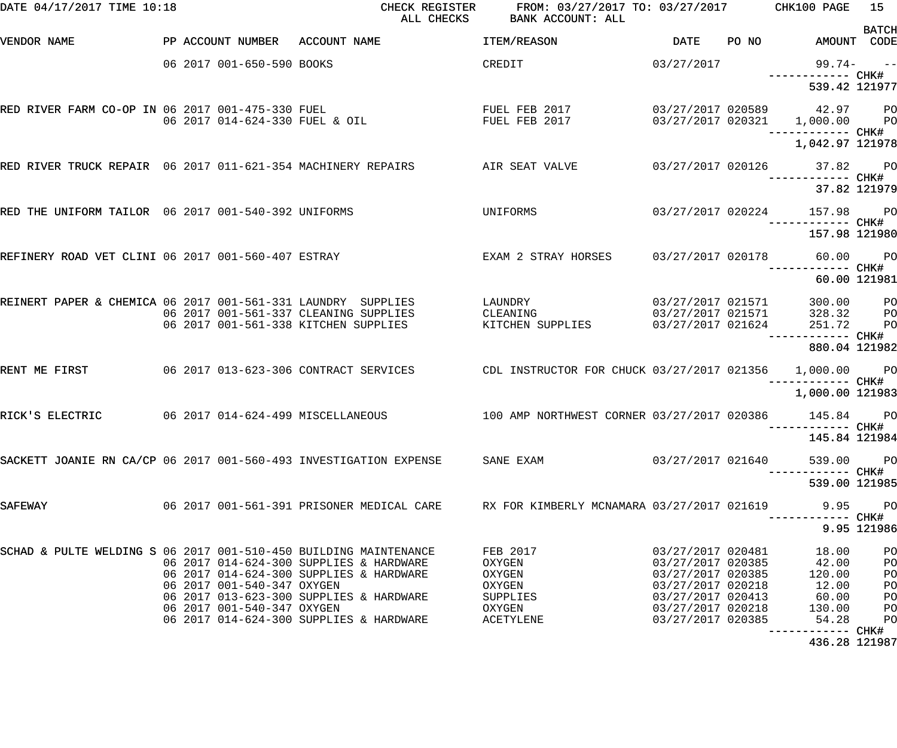| DATE 04/17/2017 TIME 10:18                                        |                                                          | CHECK REGISTER<br>ALL CHECKS                                                                                                                                             | FROM: 03/27/2017 TO: 03/27/2017 CHK100 PAGE<br>BANK ACCOUNT: ALL          |                                                                                                                                                 |       |                                                               | 15<br><b>BATCH</b>                                 |
|-------------------------------------------------------------------|----------------------------------------------------------|--------------------------------------------------------------------------------------------------------------------------------------------------------------------------|---------------------------------------------------------------------------|-------------------------------------------------------------------------------------------------------------------------------------------------|-------|---------------------------------------------------------------|----------------------------------------------------|
| VENDOR NAME                                                       |                                                          | PP ACCOUNT NUMBER ACCOUNT NAME                                                                                                                                           | ITEM/REASON                                                               | DATE                                                                                                                                            | PO NO | AMOUNT CODE                                                   |                                                    |
|                                                                   | 06 2017 001-650-590 BOOKS                                |                                                                                                                                                                          | CREDIT                                                                    | 03/27/2017                                                                                                                                      |       | 99.74- --                                                     |                                                    |
|                                                                   |                                                          |                                                                                                                                                                          |                                                                           |                                                                                                                                                 |       | 539.42 121977                                                 |                                                    |
|                                                                   |                                                          | RED RIVER FARM CO-OP IN 06 2017 001-475-330 FUEL<br>06 2017 014-624-330 FUEL & OIL                                                                                       | FUEL FEB 2017<br>FUEL FEB 2017                                            |                                                                                                                                                 |       | 03/27/2017 020589 42.97 PO<br>03/27/2017 020321 1,000.00 PO   |                                                    |
|                                                                   |                                                          |                                                                                                                                                                          |                                                                           |                                                                                                                                                 |       | 1,042.97 121978                                               |                                                    |
| RED RIVER TRUCK REPAIR 06 2017 011-621-354 MACHINERY REPAIRS      |                                                          |                                                                                                                                                                          | AIR SEAT VALVE                                                            |                                                                                                                                                 |       | 03/27/2017 020126 37.82 PO                                    |                                                    |
|                                                                   |                                                          |                                                                                                                                                                          |                                                                           |                                                                                                                                                 |       | 37.82 121979                                                  |                                                    |
| RED THE UNIFORM TAILOR 06 2017 001-540-392 UNIFORMS               |                                                          |                                                                                                                                                                          | UNIFORMS                                                                  |                                                                                                                                                 |       | 03/27/2017 020224 157.98 PO<br>------------ CHK#              |                                                    |
|                                                                   |                                                          |                                                                                                                                                                          |                                                                           |                                                                                                                                                 |       | 157.98 121980                                                 |                                                    |
| REFINERY ROAD VET CLINI 06 2017 001-560-407 ESTRAY                |                                                          |                                                                                                                                                                          | EXAM 2 STRAY HORSES   03/27/2017  020178   60.00   PO                     |                                                                                                                                                 |       | ------------ CHK#                                             |                                                    |
|                                                                   |                                                          |                                                                                                                                                                          |                                                                           |                                                                                                                                                 |       | 60.00 121981                                                  |                                                    |
| REINERT PAPER & CHEMICA 06 2017 001-561-331 LAUNDRY SUPPLIES      |                                                          | 06 2017 001-561-337 CLEANING SUPPLIES<br>06 2017 001-561-338 KITCHEN SUPPLIES                                                                                            | LAUNDRY<br>CLEANING<br>KITCHEN SUPPLIES 03/27/2017 021624                 | 03/27/2017 021571<br>03/27/2017 021571                                                                                                          |       | 300.00 PO<br>328.32<br>251.72                                 | P <sub>O</sub><br>P <sub>O</sub>                   |
|                                                                   |                                                          |                                                                                                                                                                          |                                                                           |                                                                                                                                                 |       | 880.04 121982                                                 |                                                    |
| RENT ME FIRST                                                     |                                                          | 06 2017 013-623-306 CONTRACT SERVICES                                                                                                                                    | CDL INSTRUCTOR FOR CHUCK 03/27/2017 021356 1,000.00 PO                    |                                                                                                                                                 |       |                                                               |                                                    |
|                                                                   |                                                          |                                                                                                                                                                          |                                                                           |                                                                                                                                                 |       | ------ CHK#<br>1,000.00 121983                                |                                                    |
| RICK'S ELECTRIC                                                   |                                                          | 06 2017 014-624-499 MISCELLANEOUS                                                                                                                                        | 100 AMP NORTHWEST CORNER 03/27/2017 020386 145.84 PO                      |                                                                                                                                                 |       |                                                               |                                                    |
|                                                                   |                                                          |                                                                                                                                                                          |                                                                           |                                                                                                                                                 |       | 145.84 121984                                                 |                                                    |
| SACKETT JOANIE RN CA/CP 06 2017 001-560-493 INVESTIGATION EXPENSE |                                                          |                                                                                                                                                                          | SANE EXAM                                                                 | 03/27/2017 021640                                                                                                                               |       | 539.00                                                        | PO <sub>1</sub>                                    |
|                                                                   |                                                          |                                                                                                                                                                          |                                                                           |                                                                                                                                                 |       | 539.00 121985                                                 |                                                    |
| SAFEWAY                                                           |                                                          | 06 2017 001-561-391 PRISONER MEDICAL CARE RX FOR KIMBERLY MCNAMARA 03/27/2017 021619                                                                                     |                                                                           |                                                                                                                                                 |       | 9.95                                                          | $P$ O                                              |
|                                                                   |                                                          |                                                                                                                                                                          |                                                                           |                                                                                                                                                 |       |                                                               | 9.95 121986                                        |
| SCHAD & PULTE WELDING S 06 2017 001-510-450 BUILDING MAINTENANCE  | 06 2017 001-540-347 OXYGEN<br>06 2017 001-540-347 OXYGEN | 06 2017 014-624-300 SUPPLIES & HARDWARE<br>06 2017 014-624-300 SUPPLIES & HARDWARE<br>06 2017 013-623-300 SUPPLIES & HARDWARE<br>06 2017 014-624-300 SUPPLIES & HARDWARE | FEB 2017<br>OXYGEN<br>OXYGEN<br>OXYGEN<br>SUPPLIES<br>OXYGEN<br>ACETYLENE | 03/27/2017 020481<br>03/27/2017 020385<br>03/27/2017 020385<br>03/27/2017 020218<br>03/27/2017 020413<br>03/27/2017 020218<br>03/27/2017 020385 |       | 18.00<br>42.00<br>120.00<br>12.00<br>60.00<br>130.00<br>54.28 | PO<br>PO<br>PO<br>PO<br>PO<br>PO<br>P <sub>O</sub> |
|                                                                   |                                                          |                                                                                                                                                                          |                                                                           |                                                                                                                                                 |       | ----------- CHK#<br>436.28 121987                             |                                                    |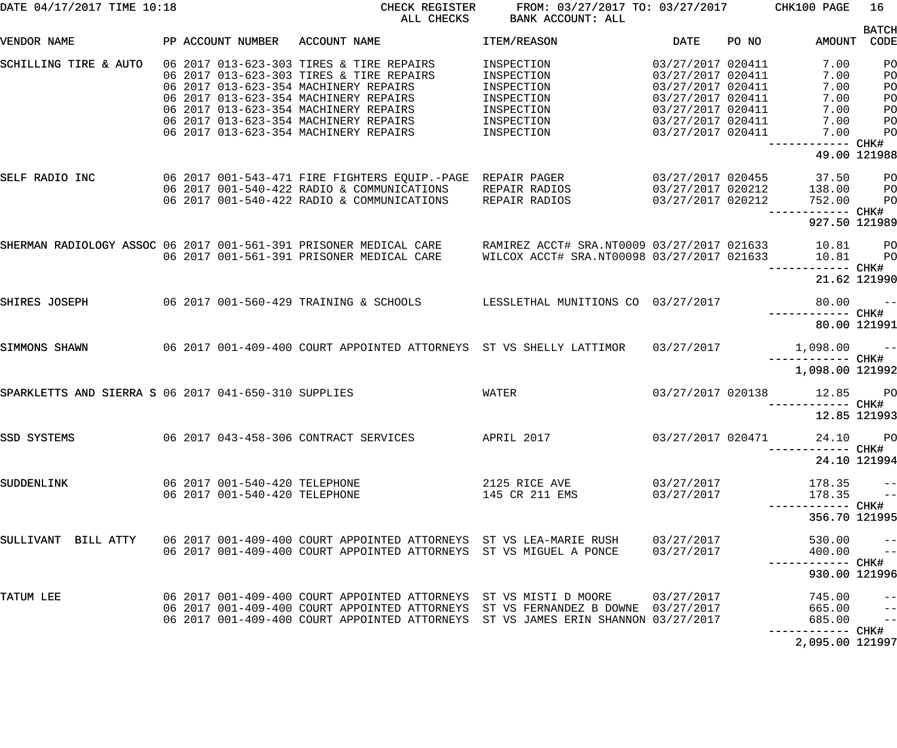| DATE 04/17/2017 TIME 10:18                           |                               | CHECK REGISTER<br>ALL CHECKS                                                                                                                                                                                                               | FROM: 03/27/2017 TO: 03/27/2017 CHK100 PAGE<br><b>BANK ACCOUNT: ALL</b> |                                                             |       |                                            | 16                                      |
|------------------------------------------------------|-------------------------------|--------------------------------------------------------------------------------------------------------------------------------------------------------------------------------------------------------------------------------------------|-------------------------------------------------------------------------|-------------------------------------------------------------|-------|--------------------------------------------|-----------------------------------------|
| VENDOR NAME                                          | PP ACCOUNT NUMBER             | ACCOUNT NAME                                                                                                                                                                                                                               | ITEM/REASON                                                             | <b>DATE</b>                                                 | PO NO | AMOUNT CODE                                | <b>BATCH</b>                            |
| SCHILLING TIRE & AUTO                                |                               | 06 2017 013-623-303 TIRES & TIRE REPAIRS<br>06 2017 013-623-303 TIRES & TIRE REPAIRS<br>06 2017 013-623-354 MACHINERY REPAIRS                                                                                                              | INSPECTION<br>INSPECTION<br>INSPECTION                                  | 03/27/2017 020411<br>03/27/2017 020411<br>03/27/2017 020411 |       | 7.00<br>7.00<br>7.00                       | PO<br>PO<br>PO                          |
|                                                      |                               | 06 2017 013-623-354 MACHINERY REPAIRS<br>06 2017 013-623-354 MACHINERY REPAIRS<br>06 2017 013-623-354 MACHINERY REPAIRS                                                                                                                    | INSPECTION<br>INSPECTION<br>INSPECTION                                  | 03/27/2017 020411<br>03/27/2017 020411<br>03/27/2017 020411 |       | 7.00<br>7.00<br>7.00                       | PO<br>PO<br>PO                          |
|                                                      |                               | 06 2017 013-623-354 MACHINERY REPAIRS                                                                                                                                                                                                      | INSPECTION                                                              | 03/27/2017 020411                                           |       | 7.00<br>------ CHK#<br>49.00 121988        | PO                                      |
| SELF RADIO INC                                       |                               | 06  2017  001-543-471  FIRE FIGHTERS  EQUIP.-PAGE  REPAIR  PAGER<br>06 2017 001-540-422 RADIO & COMMUNICATIONS<br>06 2017 001-540-422 RADIO & COMMUNICATIONS                                                                               | REPAIR RADIOS<br>REPAIR RADIOS                                          | 03/27/2017 020455<br>03/27/2017 020212<br>03/27/2017 020212 |       | 37.50<br>138.00<br>752.00                  | PО<br>$_{\rm PO}$<br>P <sub>O</sub>     |
|                                                      |                               |                                                                                                                                                                                                                                            |                                                                         |                                                             |       | 927.50 121989                              |                                         |
|                                                      |                               | SHERMAN RADIOLOGY ASSOC 06 2017 001-561-391 PRISONER MEDICAL CARE     RAMIREZ ACCT# SRA.NT0009 03/27/2017 021633<br>06 2017 001-561-391 PRISONER MEDICAL CARE                                                                              | WILCOX ACCT# SRA.NT00098 03/27/2017 021633                              |                                                             |       | 10.81<br>10.81<br>----------- CHK#         | $_{\rm PO}$<br>P <sub>O</sub>           |
|                                                      |                               |                                                                                                                                                                                                                                            |                                                                         |                                                             |       | 21.62 121990                               |                                         |
| SHIRES JOSEPH                                        |                               | 06 2017 001-560-429 TRAINING & SCHOOLS LESSLETHAL MUNITIONS CO 03/27/2017                                                                                                                                                                  |                                                                         |                                                             |       | 80.00<br>------------ CHK#<br>80.00 121991 | $ -$                                    |
| SIMMONS SHAWN                                        |                               | 06 2017 001-409-400 COURT APPOINTED ATTORNEYS ST VS SHELLY LATTIMOR                                                                                                                                                                        |                                                                         | 03/27/2017                                                  |       | $1,098.00 - -$<br>------------ CHK#        |                                         |
|                                                      |                               |                                                                                                                                                                                                                                            |                                                                         |                                                             |       | 1,098.00 121992                            |                                         |
| SPARKLETTS AND SIERRA S 06 2017 041-650-310 SUPPLIES |                               |                                                                                                                                                                                                                                            | WATER                                                                   | 03/27/2017 020138                                           |       | 12.85 PO<br>12.85 121993                   |                                         |
| SSD SYSTEMS                                          |                               | 06 2017 043-458-306 CONTRACT SERVICES                                                                                                                                                                                                      | APRIL 2017                                                              | 03/27/2017 020471                                           |       | 24.10 PO<br>--------- CHK#                 |                                         |
|                                                      |                               |                                                                                                                                                                                                                                            |                                                                         |                                                             |       | 24.10 121994                               |                                         |
| SUDDENLINK                                           | 06 2017 001-540-420 TELEPHONE | 06 2017 001-540-420 TELEPHONE                                                                                                                                                                                                              | 2125 RICE AVE<br>145 CR 211 EMS                                         | 03/27/2017<br>03/27/2017                                    |       | 178.35<br>178.35                           | $\left  - \right $<br>$\rightarrow$ $-$ |
|                                                      |                               |                                                                                                                                                                                                                                            |                                                                         |                                                             |       | 356.70 121995                              |                                         |
| SULLIVANT BILL ATTY                                  |                               | 06 2017 001-409-400 COURT APPOINTED ATTORNEYS ST VS LEA-MARIE RUSH<br>06 2017 001-409-400 COURT APPOINTED ATTORNEYS ST VS MIGUEL A PONCE                                                                                                   |                                                                         | 03/27/2017<br>03/27/2017                                    |       | 530.00<br>400.00                           | $\qquad \qquad -$<br>$\overline{a}$     |
|                                                      |                               |                                                                                                                                                                                                                                            |                                                                         |                                                             |       | 930.00 121996                              |                                         |
| TATUM LEE                                            |                               | 06 2017 001-409-400 COURT APPOINTED ATTORNEYS ST VS MISTI D MOORE<br>06 2017 001-409-400 COURT APPOINTED ATTORNEYS ST VS FERNANDEZ B DOWNE 03/27/2017<br>06 2017 001-409-400 COURT APPOINTED ATTORNEYS ST VS JAMES ERIN SHANNON 03/27/2017 |                                                                         | 03/27/2017                                                  |       | 745.00<br>665.00<br>685.00                 | $ -$<br>$-$<br>$\qquad \qquad -$        |
|                                                      |                               |                                                                                                                                                                                                                                            |                                                                         |                                                             |       | 2,095.00 121997                            |                                         |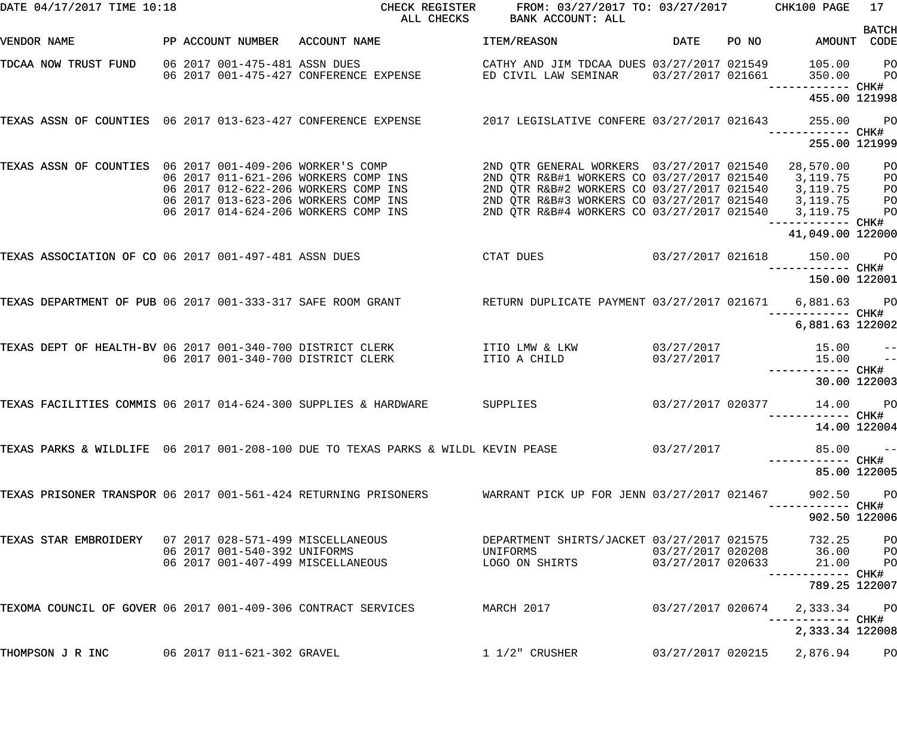| DATE 04/17/2017 TIME 10:18                                      |  |                               | CHECK REGISTER<br>ALL CHECKS                                                                                         |                                                                                                                                                                                              |                                        | FROM: 03/27/2017 TO: 03/27/2017 CHK100 PAGE | 17                                |                                      |
|-----------------------------------------------------------------|--|-------------------------------|----------------------------------------------------------------------------------------------------------------------|----------------------------------------------------------------------------------------------------------------------------------------------------------------------------------------------|----------------------------------------|---------------------------------------------|-----------------------------------|--------------------------------------|
| VENDOR NAME                                                     |  |                               | PP ACCOUNT NUMBER ACCOUNT NAME                                                                                       | ITEM/REASON                                                                                                                                                                                  | DATE                                   | PO NO                                       | AMOUNT                            | <b>BATCH</b><br>CODE                 |
| TDCAA NOW TRUST FUND                                            |  | 06 2017 001-475-481 ASSN DUES | 06 2017 001-475-427 CONFERENCE EXPENSE THE DICIVIL LAW SEMINAR                                                       | CATHY AND JIM TDCAA DUES 03/27/2017 021549                                                                                                                                                   | 03/27/2017 021661                      |                                             | 105.00<br>350.00                  | P <sub>O</sub><br>P <sub>O</sub>     |
|                                                                 |  |                               |                                                                                                                      |                                                                                                                                                                                              |                                        |                                             | 455.00 121998                     |                                      |
|                                                                 |  |                               | TEXAS ASSN OF COUNTIES 06 2017 013-623-427 CONFERENCE EXPENSE 2017 LEGISLATIVE CONFERE 03/27/2017 021643             |                                                                                                                                                                                              |                                        |                                             | 255.00                            | P <sub>O</sub><br>CHK#               |
|                                                                 |  |                               |                                                                                                                      |                                                                                                                                                                                              |                                        |                                             | 255.00 121999                     |                                      |
| TEXAS ASSN OF COUNTIES 06 2017 001-409-206 WORKER'S COMP        |  |                               | 06 2017 011-621-206 WORKERS COMP INS<br>06 2017 012-622-206 WORKERS COMP INS<br>06 2017 013-623-206 WORKERS COMP INS | 2ND QTR GENERAL WORKERS 03/27/2017 021540<br>2ND QTR R&B#1 WORKERS CO 03/27/2017 021540<br>2ND QTR R&B#2 WORKERS CO 03/27/2017 021540<br>2ND QTR R&B#3 WORKERS CO 03/27/2017 021540 3,119.75 |                                        |                                             | 28,570.00<br>3,119.75<br>3,119.75 | PO<br>PO<br>PO<br>PO                 |
|                                                                 |  |                               | 06 2017 014-624-206 WORKERS COMP INS                                                                                 | 2ND OTR R&B#4 WORKERS CO 03/27/2017 021540                                                                                                                                                   |                                        |                                             | 3,119.75<br>---------- CHK#       | PO                                   |
|                                                                 |  |                               |                                                                                                                      |                                                                                                                                                                                              |                                        |                                             | 41,049.00 122000                  |                                      |
| TEXAS ASSOCIATION OF CO 06 2017 001-497-481 ASSN DUES           |  |                               |                                                                                                                      | CTAT DUES                                                                                                                                                                                    | 03/27/2017 021618                      |                                             | 150.00                            | P <sub>O</sub><br>----- CHK#         |
|                                                                 |  |                               |                                                                                                                      |                                                                                                                                                                                              |                                        |                                             | 150.00 122001                     |                                      |
| TEXAS DEPARTMENT OF PUB 06 2017 001-333-317 SAFE ROOM GRANT     |  |                               |                                                                                                                      | RETURN DUPLICATE PAYMENT 03/27/2017 021671                                                                                                                                                   |                                        |                                             | 6,881.63<br>------ CHK#           | $P$ O                                |
|                                                                 |  |                               |                                                                                                                      |                                                                                                                                                                                              |                                        |                                             | 6,881.63 122002                   |                                      |
|                                                                 |  |                               | TEXAS DEPT OF HEALTH-BV 06 2017 001-340-700 DISTRICT CLERK TILL ITIO LMW & LKW<br>06 2017 001-340-700 DISTRICT CLERK | ITIO A CHILD                                                                                                                                                                                 | 03/27/2017<br>03/27/2017               |                                             | 15.00<br>15.00<br>------------    | $-\, -$<br>$\qquad \qquad -$<br>CHK# |
|                                                                 |  |                               |                                                                                                                      |                                                                                                                                                                                              |                                        |                                             |                                   | 30.00 122003                         |
| TEXAS FACILITIES COMMIS 06 2017 014-624-300 SUPPLIES & HARDWARE |  |                               |                                                                                                                      | SUPPLIES                                                                                                                                                                                     | 03/27/2017 020377                      |                                             | 14.00                             | P <sub>O</sub>                       |
|                                                                 |  |                               |                                                                                                                      |                                                                                                                                                                                              |                                        |                                             | 14.00 122004                      |                                      |
|                                                                 |  |                               | TEXAS PARKS & WILDLIFE 06 2017 001-208-100 DUE TO TEXAS PARKS & WILDL KEVIN PEASE                                    |                                                                                                                                                                                              | 03/27/2017                             |                                             | 85.00                             | $ -$                                 |
|                                                                 |  |                               |                                                                                                                      |                                                                                                                                                                                              |                                        |                                             | 85.00 122005                      |                                      |
|                                                                 |  |                               | TEXAS PRISONER TRANSPOR 06 2017 001-561-424 RETURNING PRISONERS                                                      | WARRANT PICK UP FOR JENN 03/27/2017 021467                                                                                                                                                   |                                        |                                             | 902.50<br>----------- CHK#        | <b>PO</b>                            |
|                                                                 |  |                               |                                                                                                                      |                                                                                                                                                                                              |                                        |                                             | 902.50 122006                     |                                      |
| TEXAS STAR EMBROIDERY 07 2017 028-571-499 MISCELLANEOUS         |  | 06 2017 001-540-392 UNIFORMS  | 06 2017 001-407-499 MISCELLANEOUS                                                                                    | DEPARTMENT SHIRTS/JACKET 03/27/2017 021575<br>UNIFORMS<br>LOGO ON SHIRTS                                                                                                                     | 03/27/2017 020208<br>03/27/2017 020633 |                                             | 732.25<br>$36.00$ PO<br>21.00     | P <sub>O</sub><br>P <sub>O</sub>     |
|                                                                 |  |                               |                                                                                                                      |                                                                                                                                                                                              |                                        |                                             | 789.25 122007                     |                                      |
| TEXOMA COUNCIL OF GOVER 06 2017 001-409-306 CONTRACT SERVICES   |  |                               |                                                                                                                      | MARCH 2017                                                                                                                                                                                   | 03/27/2017 020674                      |                                             | 2,333.34                          | <b>PO</b>                            |
|                                                                 |  |                               |                                                                                                                      |                                                                                                                                                                                              |                                        |                                             | 2,333.34 122008                   |                                      |
| THOMPSON J R INC                                                |  | 06 2017 011-621-302 GRAVEL    |                                                                                                                      | $1\ 1/2$ " CRUSHER                                                                                                                                                                           |                                        |                                             | 03/27/2017 020215 2,876.94        | P <sub>O</sub>                       |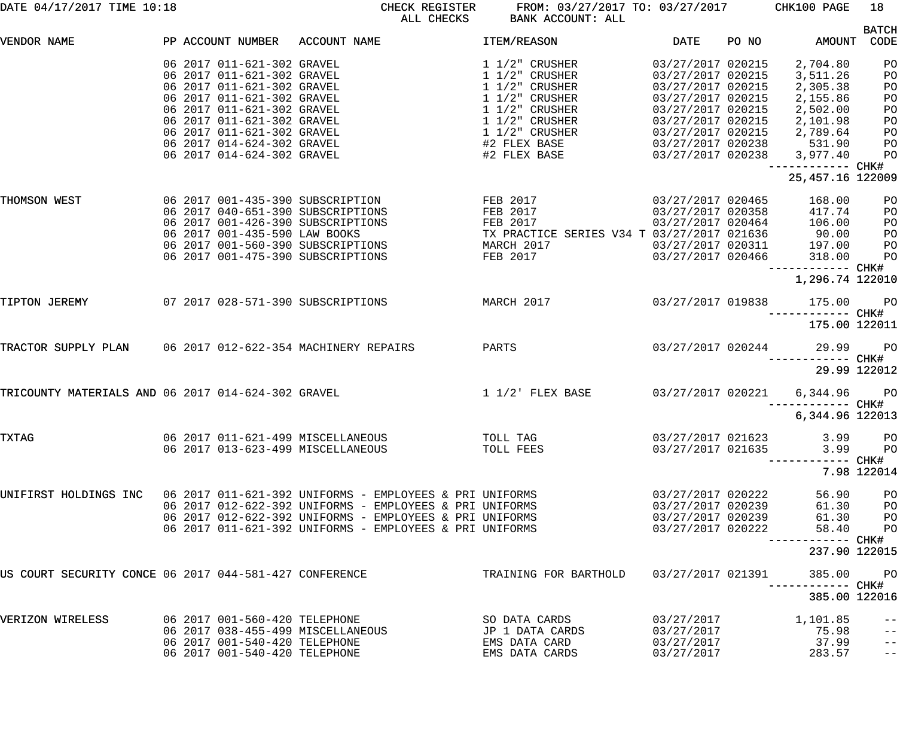| DATE 04/17/2017 TIME 10:18                             |  |                               | FROM: 03/27/2017 TO: 03/27/2017 CHK100 PAGE<br>CHECK REGISTER<br>ALL CHECKS<br>BANK ACCOUNT: ALL |                                                                                                          |                          |       |                                        | 18                         |  |
|--------------------------------------------------------|--|-------------------------------|--------------------------------------------------------------------------------------------------|----------------------------------------------------------------------------------------------------------|--------------------------|-------|----------------------------------------|----------------------------|--|
|                                                        |  |                               |                                                                                                  |                                                                                                          |                          |       |                                        | <b>BATCH</b>               |  |
| VENDOR NAME                                            |  | PP ACCOUNT NUMBER             | ACCOUNT NAME                                                                                     | ITEM/REASON                                                                                              | DATE                     | PO NO | AMOUNT                                 | CODE                       |  |
|                                                        |  | 06 2017 011-621-302 GRAVEL    |                                                                                                  | $1\;1/2$ " CRUSHER                                                                                       | 03/27/2017 020215        |       | 2,704.80                               | PO                         |  |
|                                                        |  | 06 2017 011-621-302 GRAVEL    |                                                                                                  | $1\ 1/2"$ CRUSHER                                                                                        | 03/27/2017 020215        |       | 3,511.26                               | PO                         |  |
|                                                        |  | 06 2017 011-621-302 GRAVEL    |                                                                                                  | $1\ 1/2$ " CRUSHER                                                                                       | 03/27/2017 020215        |       | 2,305.38                               | PO                         |  |
|                                                        |  | 06 2017 011-621-302 GRAVEL    |                                                                                                  | $1\ 1/2$ " CRUSHER                                                                                       | 03/27/2017 020215        |       | 2,155.86                               | P <sub>O</sub>             |  |
|                                                        |  | 06 2017 011-621-302 GRAVEL    |                                                                                                  | $1\ 1/2$ " CRUSHER                                                                                       | 03/27/2017 020215        |       | 2,502.00                               | P <sub>O</sub>             |  |
|                                                        |  | 06 2017 011-621-302 GRAVEL    |                                                                                                  | $1\ 1/2$ " CRUSHER                                                                                       | 03/27/2017 020215        |       | 2,101.98                               | P <sub>O</sub>             |  |
|                                                        |  | 06 2017 011-621-302 GRAVEL    |                                                                                                  | $1\ 1/2$ " CRUSHER                                                                                       | 03/27/2017 020215        |       | 2,789.64                               | PO                         |  |
|                                                        |  | 06 2017 014-624-302 GRAVEL    |                                                                                                  | #2 FLEX BASE                                                                                             | 03/27/2017 020238        |       | 531.90                                 | PO                         |  |
|                                                        |  | 06 2017 014-624-302 GRAVEL    |                                                                                                  | #2 FLEX BASE                                                                                             | 03/27/2017 020238        |       | 3,977.40                               | PO                         |  |
|                                                        |  |                               |                                                                                                  |                                                                                                          |                          |       | ------------ CHK#<br>25, 457.16 122009 |                            |  |
| THOMSON WEST                                           |  |                               | FEB 2017<br>06 2017 001-435-390 SUBSCRIPTION                                                     |                                                                                                          | 03/27/2017 020465        |       | 168.00                                 | PO                         |  |
|                                                        |  |                               | 06 2017 040-651-390 SUBSCRIPTIONS                                                                | FEB 2017                                                                                                 | 03/27/2017 020358        |       | 417.74                                 | PO                         |  |
|                                                        |  |                               | 06 2017 001-426-390 SUBSCRIPTIONS                                                                | FEB 2017 03/27/2017 020464<br>TX PRACTICE SERIES V34 T 03/27/2017 021636<br>MARCH 2017 03/27/2017 020311 |                          |       | 106.00                                 | PO                         |  |
|                                                        |  | 06 2017 001-435-590 LAW BOOKS |                                                                                                  |                                                                                                          |                          |       | $90.00$<br>$197.00$                    | PO                         |  |
|                                                        |  |                               | 06 2017 001-560-390 SUBSCRIPTIONS                                                                |                                                                                                          |                          |       |                                        | PO                         |  |
|                                                        |  |                               | 06 2017 001-475-390 SUBSCRIPTIONS                                                                | FEB 2017                                                                                                 | 03/27/2017 020466        |       | 318.00                                 | PO                         |  |
|                                                        |  |                               |                                                                                                  |                                                                                                          |                          |       | ------------ CHK#<br>1,296.74 122010   |                            |  |
|                                                        |  |                               |                                                                                                  |                                                                                                          |                          |       |                                        |                            |  |
| TIPTON JEREMY                                          |  |                               | 07 2017 028-571-390 SUBSCRIPTIONS                                                                | MARCH 2017                                                                                               | 03/27/2017 019838        |       | 175.00                                 | <b>PO</b>                  |  |
|                                                        |  |                               |                                                                                                  |                                                                                                          |                          |       | 175.00 122011                          |                            |  |
| TRACTOR SUPPLY PLAN                                    |  |                               | 06 2017 012-622-354 MACHINERY REPAIRS<br>PARTS                                                   |                                                                                                          | 03/27/2017 020244        |       | 29.99                                  | $P$ O                      |  |
|                                                        |  |                               |                                                                                                  |                                                                                                          |                          |       | 29.99 122012                           | ----- CHK#                 |  |
| TRICOUNTY MATERIALS AND 06 2017 014-624-302 GRAVEL     |  |                               | $1/2$ FLEX BASE                                                                                  |                                                                                                          | 03/27/2017 020221        |       | 6,344.96 PO                            |                            |  |
|                                                        |  |                               |                                                                                                  |                                                                                                          |                          |       | ------ CHK#                            |                            |  |
|                                                        |  |                               |                                                                                                  |                                                                                                          |                          |       | 6,344.96 122013                        |                            |  |
| TXTAG                                                  |  |                               | 06 2017 011-621-499 MISCELLANEOUS                                                                | TOLL TAG                                                                                                 | 03/27/2017 021623        |       | 3.99                                   | PO                         |  |
|                                                        |  |                               | 06 2017 013-623-499 MISCELLANEOUS                                                                | TOLL FEES                                                                                                | 03/27/2017 021635        |       | 3.99                                   | PO                         |  |
|                                                        |  |                               |                                                                                                  |                                                                                                          |                          |       |                                        |                            |  |
|                                                        |  |                               |                                                                                                  |                                                                                                          |                          |       |                                        | 7.98 122014                |  |
| UNIFIRST HOLDINGS INC                                  |  |                               | 06 2017 011-621-392 UNIFORMS - EMPLOYEES & PRI UNIFORMS                                          |                                                                                                          | 03/27/2017 020222        |       | 56.90                                  | PO                         |  |
|                                                        |  |                               | 06 2017 012-622-392 UNIFORMS - EMPLOYEES & PRI UNIFORMS                                          |                                                                                                          | 03/27/2017 020239        |       | 61.30                                  | PO                         |  |
|                                                        |  |                               | 06 2017 012-622-392 UNIFORMS - EMPLOYEES & PRI UNIFORMS                                          |                                                                                                          | 03/27/2017 020239        |       | 61.30                                  | PO                         |  |
|                                                        |  |                               | 06 2017 011-621-392 UNIFORMS - EMPLOYEES & PRI UNIFORMS                                          |                                                                                                          | 03/27/2017 020222        |       | 58.40                                  | PO                         |  |
|                                                        |  |                               |                                                                                                  |                                                                                                          |                          |       |                                        |                            |  |
|                                                        |  |                               |                                                                                                  |                                                                                                          |                          |       | 237.90 122015                          |                            |  |
| US COURT SECURITY CONCE 06 2017 044-581-427 CONFERENCE |  |                               |                                                                                                  | TRAINING FOR BARTHOLD                                                                                    | 03/27/2017 021391        |       | 385.00                                 | P <sub>O</sub>             |  |
|                                                        |  |                               |                                                                                                  |                                                                                                          |                          |       | 385.00 122016                          |                            |  |
|                                                        |  |                               |                                                                                                  |                                                                                                          |                          |       |                                        |                            |  |
| VERIZON WIRELESS                                       |  | 06 2017 001-560-420 TELEPHONE | 06 2017 038-455-499 MISCELLANEOUS                                                                | SO DATA CARDS                                                                                            | 03/27/2017               |       | 1,101.85                               | $- -$                      |  |
|                                                        |  | 06 2017 001-540-420 TELEPHONE |                                                                                                  | JP 1 DATA CARDS<br>EMS DATA CARD                                                                         | 03/27/2017<br>03/27/2017 |       | 75.98<br>37.99                         | $- -$                      |  |
|                                                        |  | 06 2017 001-540-420 TELEPHONE |                                                                                                  | EMS DATA CARDS                                                                                           | 03/27/2017               |       | 283.57                                 | $- -$<br>$\qquad \qquad -$ |  |
|                                                        |  |                               |                                                                                                  |                                                                                                          |                          |       |                                        |                            |  |